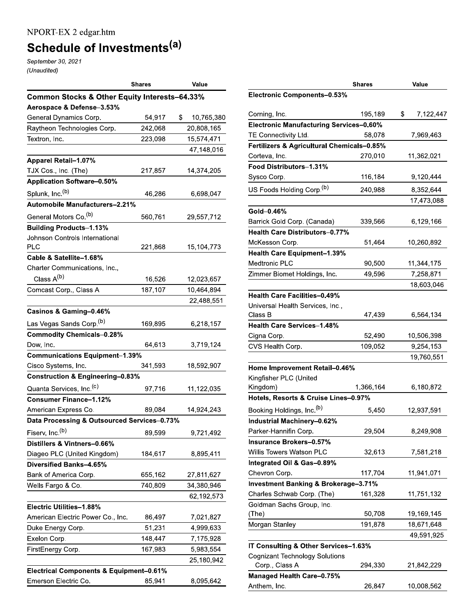# Schedule of Investments<sup>(a)</sup>

September 30, 2021 (Unaudited)

|                                                    | <b>Shares</b> | Value            |
|----------------------------------------------------|---------------|------------------|
| Common Stocks & Other Equity Interests-64.33%      |               |                  |
| Aerospace & Defense-3.53%                          |               |                  |
| General Dynamics Corp.                             | 54,917        | \$<br>10,765,380 |
| Raytheon Technologies Corp.                        | 242,068       | 20,808,165       |
| Textron, Inc.                                      | 223,098       | 15,574,471       |
|                                                    |               | 47,148,016       |
| <b>Apparel Retail-1.07%</b>                        |               |                  |
| TJX Cos., Inc. (The)                               | 217,857       | 14,374,205       |
| <b>Application Software-0.50%</b>                  |               |                  |
| Splunk, Inc. <sup>(b)</sup>                        | 46,286        | 6,698,047        |
| Automobile Manufacturers-2.21%                     |               |                  |
| General Motors Co. <sup>(b)</sup>                  | 560,761       | 29,557,712       |
| <b>Building Products-1.13%</b>                     |               |                  |
| Johnson Controls International                     |               |                  |
| <b>PLC</b>                                         | 221,868       | 15,104,773       |
| Cable & Satellite-1.68%                            |               |                  |
| Charter Communications, Inc.,                      |               |                  |
| Class A <sup>(b)</sup>                             | 16,526        | 12,023,657       |
| Comcast Corp., Class A                             | 187,107       | 10,464,894       |
|                                                    |               | 22,488,551       |
| Casinos & Gaming-0.46%                             |               |                  |
| Las Vegas Sands Corp. <sup>(b)</sup>               | 169,895       | 6,218,157        |
| <b>Commodity Chemicals-0.28%</b>                   |               |                  |
| Dow, Inc.                                          | 64,613        | 3,719,124        |
| <b>Communications Equipment-1.39%</b>              |               |                  |
| Cisco Systems, Inc.                                | 341,593       | 18,592,907       |
| <b>Construction &amp; Engineering-0.83%</b>        |               |                  |
| Quanta Services, Inc. <sup>(c)</sup>               | 97,716        | 11,122,035       |
| <b>Consumer Finance-1.12%</b>                      |               |                  |
| American Express Co.                               | 89,084        | 14,924,243       |
| Data Processing & Outsourced Services-0.73%        |               |                  |
| Fiserv, Inc. <sup>(b)</sup>                        | 89,599        | 9,721,492        |
| Distillers & Vintners-0.66%                        |               |                  |
| Diageo PLC (United Kingdom)                        | 184,617       | 8,895,411        |
| Diversified Banks-4.65%                            |               |                  |
| Bank of America Corp.                              | 655,162       | 27,811,627       |
| Wells Fargo & Co.                                  | 740,809       | 34,380,946       |
|                                                    |               | 62,192,573       |
| Electric Utilities-1.88%                           |               |                  |
| American Electric Power Co., Inc.                  | 86,497        | 7,021,827        |
| Duke Energy Corp.                                  | 51,231        | 4,999,633        |
| Exelon Corp.                                       | 148,447       | 7,175,928        |
| FirstEnergy Corp.                                  | 167,983       | 5,983,554        |
|                                                    |               | 25,180,942       |
| <b>Electrical Components &amp; Equipment-0.61%</b> |               |                  |
| Emerson Electric Co.                               | 85,941        | 8,095,642        |
|                                                    |               |                  |

|                                                 | <b>Shares</b> | Value           |
|-------------------------------------------------|---------------|-----------------|
| Electronic Components-0.53%                     |               |                 |
|                                                 |               |                 |
| Corning, Inc.                                   | 195,189       | \$<br>7,122,447 |
| <b>Electronic Manufacturing Services-0.60%</b>  |               |                 |
| TE Connectivity Ltd.                            | 58,078        | 7,969,463       |
| Fertilizers & Agricultural Chemicals-0.85%      |               |                 |
| Corteva, Inc.                                   | 270,010       | 11,362,021      |
| Food Distributors-1.31%                         |               |                 |
| Sysco Corp.                                     | 116,184       | 9,120,444       |
| US Foods Holding Corp. <sup>(b)</sup>           | 240,988       | 8,352,644       |
|                                                 |               | 17,473,088      |
| Gold-0.46%                                      |               |                 |
| Barrick Gold Corp. (Canada)                     | 339,566       | 6,129,166       |
| <b>Health Care Distributors-0.77%</b>           |               |                 |
| McKesson Corp.                                  | 51,464        | 10,260,892      |
| <b>Health Care Equipment-1.39%</b>              |               |                 |
| <b>Medtronic PLC</b>                            | 90,500        | 11,344,175      |
| Zimmer Biomet Holdings, Inc.                    | 49,596        | 7,258,871       |
|                                                 |               | 18,603,046      |
| <b>Health Care Facilities-0.49%</b>             |               |                 |
| Universal Health Services, Inc.,                |               |                 |
| Class B                                         | 47,439        | 6,564,134       |
| <b>Health Care Services-1.48%</b>               |               |                 |
| Cigna Corp.                                     | 52,490        | 10,506,398      |
| CVS Health Corp.                                | 109,052       | 9,254,153       |
|                                                 |               | 19,760,551      |
| Home Improvement Retail-0.46%                   |               |                 |
| Kingfisher PLC (United                          |               |                 |
| Kingdom)                                        | 1,366,164     | 6,180,872       |
| Hotels, Resorts & Cruise Lines-0.97%            |               |                 |
| Booking Holdings, Inc. <sup>(b)</sup>           | 5,450         | 12,937,591      |
| Industrial Machinery-0.62%                      |               |                 |
| Parker-Hannifin Corp.                           | 29,504        | 8,249,908       |
| Insurance Brokers–0.57%                         |               |                 |
| Willis Towers Watson PLC                        | 32,613        | 7,581,218       |
| Integrated Oil & Gas-0.89%                      |               |                 |
| Chevron Corp.                                   | 117,704       | 11,941,071      |
| <b>Investment Banking &amp; Brokerage-3.71%</b> |               |                 |
| Charles Schwab Corp. (The)                      | 161,328       | 11,751,132      |
| Goldman Sachs Group, Inc.                       |               |                 |
| (The)                                           | 50,708        | 19,169,145      |
| Morgan Stanley                                  | 191,878       | 18,671,648      |
|                                                 |               | 49,591,925      |
| IT Consulting & Other Services-1.63%            |               |                 |
| Cognizant Technology Solutions                  |               |                 |
| Corp., Class A                                  | 294,330       | 21,842,229      |
| Managed Health Care-0.75%                       |               |                 |
| Anthem, Inc.                                    | 26,847        | 10,008,562      |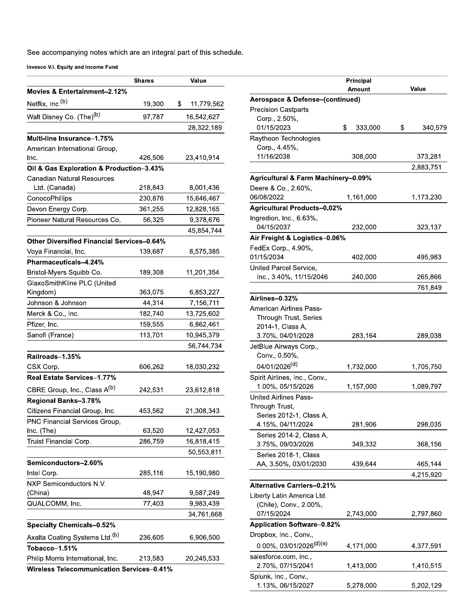L

| Movies & Entertainment-2.12%<br>Netflix, Inc. <sup>(b)</sup><br>\$<br>19,300<br>11,779,562<br>Walt Disney Co. (The) <sup>(b)</sup><br>97,787<br>16,542,627<br>28,322,189<br>Multi-line Insurance-1.75%<br>American International Group,<br>Inc.<br>426,506<br>23,410,914<br>Oil & Gas Exploration & Production-3.43%<br><b>Canadian Natural Resources</b><br>Ltd. (Canada)<br>218,843<br>8,001,436<br>230,876<br>15,646,467<br>ConocoPhillips<br>Devon Energy Corp.<br>361,255<br>12,828,165<br>9,378,676<br>Pioneer Natural Resources Co.<br>56,325<br>45,854,744<br><b>Other Diversified Financial Services-0.64%</b><br>139,687<br>8,575,385<br>Voya Financial, Inc.<br>Pharmaceuticals-4.24%<br>Bristol-Myers Squibb Co.<br>189,308<br>11,201,354<br>GlaxoSmithKline PLC (United<br>Kingdom)<br>363,075<br>6,853,227<br>Johnson & Johnson<br>44,314<br>7,156,711<br>182,740<br>Merck & Co., Inc.<br>13,725,602<br>Pfizer, Inc.<br>159,555<br>6,862,461<br>113,701<br>Sanofi (France)<br>10,945,379<br>56,744,734<br>Railroads-1.35%<br>CSX Corp.<br>606,262<br>18,030,232<br>Real Estate Services-1.77%<br>CBRE Group, Inc., Class A <sup>(b)</sup><br>242,531<br>23,612,818<br>Regional Banks-3.78%<br>Citizens Financial Group, Inc.<br>453,562<br>21,308,343<br>PNC Financial Services Group,<br>63,520<br>12,427,053<br>Inc. (The)<br>Truist Financial Corp.<br>286,759<br>16,818,415<br>50,553,811<br>Semiconductors-2.60%<br>Intel Corp.<br>285,116<br>15,190,980<br>NXP Semiconductors N.V.<br>48,947<br>(China)<br>9,587,249<br>9,983,439<br>QUALCOMM, Inc.<br>77,403<br>34,761,668<br><b>Specialty Chemicals-0.52%</b><br>Axalta Coating Systems Ltd. <sup>(b)</sup><br>236,605<br>6,906,500<br>Tobacco-1.51%<br>Philip Morris International, Inc.<br>213,583<br>20,245,533 | <b>Shares</b> | Value |
|------------------------------------------------------------------------------------------------------------------------------------------------------------------------------------------------------------------------------------------------------------------------------------------------------------------------------------------------------------------------------------------------------------------------------------------------------------------------------------------------------------------------------------------------------------------------------------------------------------------------------------------------------------------------------------------------------------------------------------------------------------------------------------------------------------------------------------------------------------------------------------------------------------------------------------------------------------------------------------------------------------------------------------------------------------------------------------------------------------------------------------------------------------------------------------------------------------------------------------------------------------------------------------------------------------------------------------------------------------------------------------------------------------------------------------------------------------------------------------------------------------------------------------------------------------------------------------------------------------------------------------------------------------------------------------------------------------------------------------------------------------------------------------------|---------------|-------|
|                                                                                                                                                                                                                                                                                                                                                                                                                                                                                                                                                                                                                                                                                                                                                                                                                                                                                                                                                                                                                                                                                                                                                                                                                                                                                                                                                                                                                                                                                                                                                                                                                                                                                                                                                                                          |               |       |
|                                                                                                                                                                                                                                                                                                                                                                                                                                                                                                                                                                                                                                                                                                                                                                                                                                                                                                                                                                                                                                                                                                                                                                                                                                                                                                                                                                                                                                                                                                                                                                                                                                                                                                                                                                                          |               |       |
|                                                                                                                                                                                                                                                                                                                                                                                                                                                                                                                                                                                                                                                                                                                                                                                                                                                                                                                                                                                                                                                                                                                                                                                                                                                                                                                                                                                                                                                                                                                                                                                                                                                                                                                                                                                          |               |       |
|                                                                                                                                                                                                                                                                                                                                                                                                                                                                                                                                                                                                                                                                                                                                                                                                                                                                                                                                                                                                                                                                                                                                                                                                                                                                                                                                                                                                                                                                                                                                                                                                                                                                                                                                                                                          |               |       |
|                                                                                                                                                                                                                                                                                                                                                                                                                                                                                                                                                                                                                                                                                                                                                                                                                                                                                                                                                                                                                                                                                                                                                                                                                                                                                                                                                                                                                                                                                                                                                                                                                                                                                                                                                                                          |               |       |
|                                                                                                                                                                                                                                                                                                                                                                                                                                                                                                                                                                                                                                                                                                                                                                                                                                                                                                                                                                                                                                                                                                                                                                                                                                                                                                                                                                                                                                                                                                                                                                                                                                                                                                                                                                                          |               |       |
|                                                                                                                                                                                                                                                                                                                                                                                                                                                                                                                                                                                                                                                                                                                                                                                                                                                                                                                                                                                                                                                                                                                                                                                                                                                                                                                                                                                                                                                                                                                                                                                                                                                                                                                                                                                          |               |       |
|                                                                                                                                                                                                                                                                                                                                                                                                                                                                                                                                                                                                                                                                                                                                                                                                                                                                                                                                                                                                                                                                                                                                                                                                                                                                                                                                                                                                                                                                                                                                                                                                                                                                                                                                                                                          |               |       |
|                                                                                                                                                                                                                                                                                                                                                                                                                                                                                                                                                                                                                                                                                                                                                                                                                                                                                                                                                                                                                                                                                                                                                                                                                                                                                                                                                                                                                                                                                                                                                                                                                                                                                                                                                                                          |               |       |
|                                                                                                                                                                                                                                                                                                                                                                                                                                                                                                                                                                                                                                                                                                                                                                                                                                                                                                                                                                                                                                                                                                                                                                                                                                                                                                                                                                                                                                                                                                                                                                                                                                                                                                                                                                                          |               |       |
|                                                                                                                                                                                                                                                                                                                                                                                                                                                                                                                                                                                                                                                                                                                                                                                                                                                                                                                                                                                                                                                                                                                                                                                                                                                                                                                                                                                                                                                                                                                                                                                                                                                                                                                                                                                          |               |       |
|                                                                                                                                                                                                                                                                                                                                                                                                                                                                                                                                                                                                                                                                                                                                                                                                                                                                                                                                                                                                                                                                                                                                                                                                                                                                                                                                                                                                                                                                                                                                                                                                                                                                                                                                                                                          |               |       |
|                                                                                                                                                                                                                                                                                                                                                                                                                                                                                                                                                                                                                                                                                                                                                                                                                                                                                                                                                                                                                                                                                                                                                                                                                                                                                                                                                                                                                                                                                                                                                                                                                                                                                                                                                                                          |               |       |
|                                                                                                                                                                                                                                                                                                                                                                                                                                                                                                                                                                                                                                                                                                                                                                                                                                                                                                                                                                                                                                                                                                                                                                                                                                                                                                                                                                                                                                                                                                                                                                                                                                                                                                                                                                                          |               |       |
|                                                                                                                                                                                                                                                                                                                                                                                                                                                                                                                                                                                                                                                                                                                                                                                                                                                                                                                                                                                                                                                                                                                                                                                                                                                                                                                                                                                                                                                                                                                                                                                                                                                                                                                                                                                          |               |       |
|                                                                                                                                                                                                                                                                                                                                                                                                                                                                                                                                                                                                                                                                                                                                                                                                                                                                                                                                                                                                                                                                                                                                                                                                                                                                                                                                                                                                                                                                                                                                                                                                                                                                                                                                                                                          |               |       |
|                                                                                                                                                                                                                                                                                                                                                                                                                                                                                                                                                                                                                                                                                                                                                                                                                                                                                                                                                                                                                                                                                                                                                                                                                                                                                                                                                                                                                                                                                                                                                                                                                                                                                                                                                                                          |               |       |
|                                                                                                                                                                                                                                                                                                                                                                                                                                                                                                                                                                                                                                                                                                                                                                                                                                                                                                                                                                                                                                                                                                                                                                                                                                                                                                                                                                                                                                                                                                                                                                                                                                                                                                                                                                                          |               |       |
|                                                                                                                                                                                                                                                                                                                                                                                                                                                                                                                                                                                                                                                                                                                                                                                                                                                                                                                                                                                                                                                                                                                                                                                                                                                                                                                                                                                                                                                                                                                                                                                                                                                                                                                                                                                          |               |       |
|                                                                                                                                                                                                                                                                                                                                                                                                                                                                                                                                                                                                                                                                                                                                                                                                                                                                                                                                                                                                                                                                                                                                                                                                                                                                                                                                                                                                                                                                                                                                                                                                                                                                                                                                                                                          |               |       |
|                                                                                                                                                                                                                                                                                                                                                                                                                                                                                                                                                                                                                                                                                                                                                                                                                                                                                                                                                                                                                                                                                                                                                                                                                                                                                                                                                                                                                                                                                                                                                                                                                                                                                                                                                                                          |               |       |
|                                                                                                                                                                                                                                                                                                                                                                                                                                                                                                                                                                                                                                                                                                                                                                                                                                                                                                                                                                                                                                                                                                                                                                                                                                                                                                                                                                                                                                                                                                                                                                                                                                                                                                                                                                                          |               |       |
|                                                                                                                                                                                                                                                                                                                                                                                                                                                                                                                                                                                                                                                                                                                                                                                                                                                                                                                                                                                                                                                                                                                                                                                                                                                                                                                                                                                                                                                                                                                                                                                                                                                                                                                                                                                          |               |       |
|                                                                                                                                                                                                                                                                                                                                                                                                                                                                                                                                                                                                                                                                                                                                                                                                                                                                                                                                                                                                                                                                                                                                                                                                                                                                                                                                                                                                                                                                                                                                                                                                                                                                                                                                                                                          |               |       |
|                                                                                                                                                                                                                                                                                                                                                                                                                                                                                                                                                                                                                                                                                                                                                                                                                                                                                                                                                                                                                                                                                                                                                                                                                                                                                                                                                                                                                                                                                                                                                                                                                                                                                                                                                                                          |               |       |
|                                                                                                                                                                                                                                                                                                                                                                                                                                                                                                                                                                                                                                                                                                                                                                                                                                                                                                                                                                                                                                                                                                                                                                                                                                                                                                                                                                                                                                                                                                                                                                                                                                                                                                                                                                                          |               |       |
|                                                                                                                                                                                                                                                                                                                                                                                                                                                                                                                                                                                                                                                                                                                                                                                                                                                                                                                                                                                                                                                                                                                                                                                                                                                                                                                                                                                                                                                                                                                                                                                                                                                                                                                                                                                          |               |       |
|                                                                                                                                                                                                                                                                                                                                                                                                                                                                                                                                                                                                                                                                                                                                                                                                                                                                                                                                                                                                                                                                                                                                                                                                                                                                                                                                                                                                                                                                                                                                                                                                                                                                                                                                                                                          |               |       |
|                                                                                                                                                                                                                                                                                                                                                                                                                                                                                                                                                                                                                                                                                                                                                                                                                                                                                                                                                                                                                                                                                                                                                                                                                                                                                                                                                                                                                                                                                                                                                                                                                                                                                                                                                                                          |               |       |
|                                                                                                                                                                                                                                                                                                                                                                                                                                                                                                                                                                                                                                                                                                                                                                                                                                                                                                                                                                                                                                                                                                                                                                                                                                                                                                                                                                                                                                                                                                                                                                                                                                                                                                                                                                                          |               |       |
|                                                                                                                                                                                                                                                                                                                                                                                                                                                                                                                                                                                                                                                                                                                                                                                                                                                                                                                                                                                                                                                                                                                                                                                                                                                                                                                                                                                                                                                                                                                                                                                                                                                                                                                                                                                          |               |       |
|                                                                                                                                                                                                                                                                                                                                                                                                                                                                                                                                                                                                                                                                                                                                                                                                                                                                                                                                                                                                                                                                                                                                                                                                                                                                                                                                                                                                                                                                                                                                                                                                                                                                                                                                                                                          |               |       |
|                                                                                                                                                                                                                                                                                                                                                                                                                                                                                                                                                                                                                                                                                                                                                                                                                                                                                                                                                                                                                                                                                                                                                                                                                                                                                                                                                                                                                                                                                                                                                                                                                                                                                                                                                                                          |               |       |
|                                                                                                                                                                                                                                                                                                                                                                                                                                                                                                                                                                                                                                                                                                                                                                                                                                                                                                                                                                                                                                                                                                                                                                                                                                                                                                                                                                                                                                                                                                                                                                                                                                                                                                                                                                                          |               |       |
|                                                                                                                                                                                                                                                                                                                                                                                                                                                                                                                                                                                                                                                                                                                                                                                                                                                                                                                                                                                                                                                                                                                                                                                                                                                                                                                                                                                                                                                                                                                                                                                                                                                                                                                                                                                          |               |       |
|                                                                                                                                                                                                                                                                                                                                                                                                                                                                                                                                                                                                                                                                                                                                                                                                                                                                                                                                                                                                                                                                                                                                                                                                                                                                                                                                                                                                                                                                                                                                                                                                                                                                                                                                                                                          |               |       |
|                                                                                                                                                                                                                                                                                                                                                                                                                                                                                                                                                                                                                                                                                                                                                                                                                                                                                                                                                                                                                                                                                                                                                                                                                                                                                                                                                                                                                                                                                                                                                                                                                                                                                                                                                                                          |               |       |
|                                                                                                                                                                                                                                                                                                                                                                                                                                                                                                                                                                                                                                                                                                                                                                                                                                                                                                                                                                                                                                                                                                                                                                                                                                                                                                                                                                                                                                                                                                                                                                                                                                                                                                                                                                                          |               |       |
|                                                                                                                                                                                                                                                                                                                                                                                                                                                                                                                                                                                                                                                                                                                                                                                                                                                                                                                                                                                                                                                                                                                                                                                                                                                                                                                                                                                                                                                                                                                                                                                                                                                                                                                                                                                          |               |       |
|                                                                                                                                                                                                                                                                                                                                                                                                                                                                                                                                                                                                                                                                                                                                                                                                                                                                                                                                                                                                                                                                                                                                                                                                                                                                                                                                                                                                                                                                                                                                                                                                                                                                                                                                                                                          |               |       |
|                                                                                                                                                                                                                                                                                                                                                                                                                                                                                                                                                                                                                                                                                                                                                                                                                                                                                                                                                                                                                                                                                                                                                                                                                                                                                                                                                                                                                                                                                                                                                                                                                                                                                                                                                                                          |               |       |
|                                                                                                                                                                                                                                                                                                                                                                                                                                                                                                                                                                                                                                                                                                                                                                                                                                                                                                                                                                                                                                                                                                                                                                                                                                                                                                                                                                                                                                                                                                                                                                                                                                                                                                                                                                                          |               |       |
|                                                                                                                                                                                                                                                                                                                                                                                                                                                                                                                                                                                                                                                                                                                                                                                                                                                                                                                                                                                                                                                                                                                                                                                                                                                                                                                                                                                                                                                                                                                                                                                                                                                                                                                                                                                          |               |       |
|                                                                                                                                                                                                                                                                                                                                                                                                                                                                                                                                                                                                                                                                                                                                                                                                                                                                                                                                                                                                                                                                                                                                                                                                                                                                                                                                                                                                                                                                                                                                                                                                                                                                                                                                                                                          |               |       |
| <b>Wireless Telecommunication Services-0.41%</b>                                                                                                                                                                                                                                                                                                                                                                                                                                                                                                                                                                                                                                                                                                                                                                                                                                                                                                                                                                                                                                                                                                                                                                                                                                                                                                                                                                                                                                                                                                                                                                                                                                                                                                                                         |               |       |

|                                                | Principal     |               |
|------------------------------------------------|---------------|---------------|
|                                                | Amount        | Value         |
| Aerospace & Defense-(continued)                |               |               |
| <b>Precision Castparts</b>                     |               |               |
| Corp., 2.50%,                                  |               |               |
| 01/15/2023                                     | \$<br>333,000 | \$<br>340,579 |
| Raytheon Technologies                          |               |               |
| Corp., 4.45%,<br>11/16/2038                    |               |               |
|                                                | 308,000       | 373,281       |
|                                                |               | 2,883,751     |
| <b>Agricultural &amp; Farm Machinery-0.09%</b> |               |               |
| Deere & Co., 2.60%,                            |               |               |
| 06/08/2022                                     | 1,161,000     | 1,173,230     |
| <b>Agricultural Products-0.02%</b>             |               |               |
| Ingredion, Inc., 6.63%,                        |               |               |
| 04/15/2037                                     | 232,000       | 323,137       |
| Air Freight & Logistics-0.06%                  |               |               |
| FedEx Corp., 4.90%,                            |               |               |
| 01/15/2034                                     | 402,000       | 495,983       |
| United Parcel Service,                         |               |               |
| Inc., 3.40%, 11/15/2046                        | 240,000       | 265,866       |
|                                                |               | 761,849       |
| Airlines–0.32%                                 |               |               |
| American Airlines Pass-                        |               |               |
| <b>Through Trust, Series</b>                   |               |               |
| 2014-1, Class A,                               |               |               |
| 3.70%, 04/01/2028                              | 283,164       | 289,038       |
| JetBlue Airways Corp.,                         |               |               |
| Conv., 0.50%,                                  |               |               |
| 04/01/2026 <sup>(d)</sup>                      | 1,732,000     | 1,705,750     |
| Spirit Airlines, Inc., Conv.,                  |               |               |
| 1.00%, 05/15/2026                              | 1,157,000     | 1,089,797     |
| United Airlines Pass-                          |               |               |
| Through Trust,                                 |               |               |
| Series 2012-1, Class A,                        |               |               |
| 4.15%, 04/11/2024                              | 281,906       | 298,035       |
| Series 2014-2, Class A,                        |               |               |
| 3.75%, 09/03/2026                              | 349,332       | 368,156       |
| Series 2018-1, Class                           |               |               |
| AA, 3.50%, 03/01/2030                          | 439,644       | 465,144       |
|                                                |               | 4,215,920     |
| <b>Alternative Carriers-0.21%</b>              |               |               |
| Liberty Latin America Ltd.                     |               |               |
| (Chile), Conv., 2.00%,                         |               |               |
| 07/15/2024                                     | 2,743,000     | 2,797,860     |
| <b>Application Software-0.82%</b>              |               |               |
| Dropbox, Inc., Conv.,                          |               |               |
| 0.00%, 03/01/2026 <sup>(d)(e)</sup>            | 4,171,000     | 4,377,591     |
| salesforce.com, inc.,                          |               |               |
| 2.70%, 07/15/2041                              | 1,413,000     | 1,410,515     |
| Splunk, Inc., Conv.,                           |               |               |
| 1.13%, 06/15/2027                              | 5.278.000     | 5.202.129     |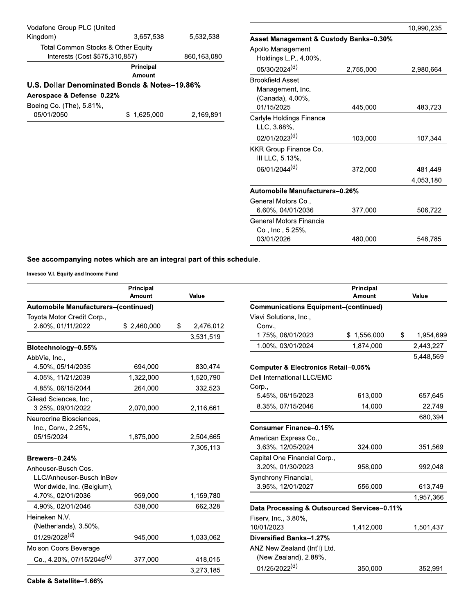| Vodafone Group PLC (United<br>Kingdom)                                                                | 3,657,538                  | 5,532,538   | Asset Management & Custody Banks-0.30%                                        |           | 10,990,235 |
|-------------------------------------------------------------------------------------------------------|----------------------------|-------------|-------------------------------------------------------------------------------|-----------|------------|
| Total Common Stocks & Other Equity<br>Interests (Cost \$575,310,857)                                  |                            | 860,163,080 | Apollo Management<br>Holdings L.P., 4.00%,                                    |           |            |
|                                                                                                       | Principal<br><b>Amount</b> |             | 05/30/2024 <sup>(d)</sup>                                                     | 2,755,000 | 2,980,664  |
| U.S. Dollar Denominated Bonds & Notes-19.86%<br>Aerospace & Defense-0.22%<br>Boeing Co. (The), 5.81%, |                            |             | <b>Brookfield Asset</b><br>Management, Inc.<br>(Canada), 4.00%,<br>01/15/2025 | 445,000   | 483,723    |
| 05/01/2050                                                                                            | \$1,625,000                | 2,169,891   | Carlyle Holdings Finance<br>LLC, 3.88%,                                       |           |            |
|                                                                                                       |                            |             | 02/01/2023(d)                                                                 | 103,000   | 107,344    |
|                                                                                                       |                            |             | KKR Group Finance Co.<br>III LLC, 5.13%,                                      |           |            |
|                                                                                                       |                            |             | 06/01/2044 <sup>(d)</sup>                                                     | 372,000   | 481,449    |
|                                                                                                       |                            |             |                                                                               |           | 4,053,180  |
|                                                                                                       |                            |             | Automobile Manufacturers-0.26%                                                |           |            |
|                                                                                                       |                            |             | General Motors Co.,<br>6.60%, 04/01/2036                                      | 377,000   | 506,722    |
|                                                                                                       |                            |             | <b>General Motors Financial</b><br>Co., Inc., 5.25%,                          |           |            |
|                                                                                                       |                            |             | 03/01/2026                                                                    | 480,000   | 548,785    |

| See accompanying notes which are an integral part of this |                     |    |           |  |  |  |
|-----------------------------------------------------------|---------------------|----|-----------|--|--|--|
| Invesco V.I. Equity and Income Fund                       |                     |    |           |  |  |  |
|                                                           | Principal<br>Amount |    | Value     |  |  |  |
| Automobile Manufacturers-(continued)                      |                     |    |           |  |  |  |
| Toyota Motor Credit Corp.,                                |                     |    |           |  |  |  |
| 2.60%, 01/11/2022                                         | \$2,460,000         | \$ | 2,476,012 |  |  |  |
|                                                           |                     |    | 3,531,519 |  |  |  |
| Biotechnology-0.55%                                       |                     |    |           |  |  |  |
| AbbVie, Inc.,                                             |                     |    |           |  |  |  |
| 4.50%, 05/14/2035                                         | 694,000             |    | 830,474   |  |  |  |
| 4.05%, 11/21/2039                                         | 1,322,000           |    | 1,520,790 |  |  |  |
| 4.85%, 06/15/2044                                         | 264,000             |    | 332,523   |  |  |  |
| Gilead Sciences, Inc.,                                    |                     |    |           |  |  |  |
| 3.25%, 09/01/2022                                         | 2,070,000           |    | 2,116,661 |  |  |  |
| Neurocrine Biosciences,                                   |                     |    |           |  |  |  |
| Inc., Conv., 2.25%,                                       |                     |    |           |  |  |  |
| 05/15/2024                                                | 1,875,000           |    | 2,504,665 |  |  |  |
|                                                           |                     |    | 7,305,113 |  |  |  |
| Brewers-0.24%                                             |                     |    |           |  |  |  |
| Anheuser-Busch Cos.                                       |                     |    |           |  |  |  |
| LLC/Anheuser-Busch InBev                                  |                     |    |           |  |  |  |
| Worldwide, Inc. (Belgium),                                |                     |    |           |  |  |  |
| 4.70%, 02/01/2036                                         | 959,000             |    | 1,159,780 |  |  |  |
| 4.90%, 02/01/2046                                         | 538,000             |    | 662,328   |  |  |  |
| Heineken N.V.                                             |                     |    |           |  |  |  |
| (Netherlands), 3.50%,                                     |                     |    |           |  |  |  |
| 01/29/2028(d)                                             | 945,000             |    | 1,033,062 |  |  |  |
| Molson Coors Beverage                                     |                     |    |           |  |  |  |
| Co., 4.20%, 07/15/2046 <sup>(c)</sup>                     | 377,000             |    | 418,015   |  |  |  |
|                                                           |                     |    | 3,273,185 |  |  |  |
| Cable & Satellite-1.66%                                   |                     |    |           |  |  |  |

|              |                                                | Principal   |                 |  |  |  |  |
|--------------|------------------------------------------------|-------------|-----------------|--|--|--|--|
| <b>/alue</b> |                                                | Amount      | Value           |  |  |  |  |
|              | <b>Communications Equipment-(continued)</b>    |             |                 |  |  |  |  |
|              | Viavi Solutions, Inc.,                         |             |                 |  |  |  |  |
| 2,476,012    | Conv.,                                         |             |                 |  |  |  |  |
| 3,531,519    | 1.75%, 06/01/2023                              | \$1,556,000 | \$<br>1,954,699 |  |  |  |  |
|              | 1.00%, 03/01/2024                              | 1,874,000   | 2,443,227       |  |  |  |  |
|              |                                                |             | 5,448,569       |  |  |  |  |
| 830,474      | <b>Computer &amp; Electronics Retail-0.05%</b> |             |                 |  |  |  |  |
| 1,520,790    | Dell International LLC/EMC                     |             |                 |  |  |  |  |
| 332,523      | Corp.,                                         |             |                 |  |  |  |  |
|              | 5.45%, 06/15/2023                              | 613,000     | 657,645         |  |  |  |  |
| 2,116,661    | 8.35%, 07/15/2046                              | 14,000      | 22,749          |  |  |  |  |
|              |                                                |             | 680,394         |  |  |  |  |
|              | <b>Consumer Finance-0.15%</b>                  |             |                 |  |  |  |  |
| 2,504,665    | American Express Co.,                          |             |                 |  |  |  |  |
| 7,305,113    | 3.63%, 12/05/2024                              | 324,000     | 351,569         |  |  |  |  |
|              | Capital One Financial Corp.,                   |             |                 |  |  |  |  |
|              | 3.20%, 01/30/2023                              | 958,000     | 992,048         |  |  |  |  |
|              | Synchrony Financial,                           |             |                 |  |  |  |  |
|              | 3.95%, 12/01/2027                              | 556,000     | 613,749         |  |  |  |  |
| 1,159,780    |                                                |             | 1,957,366       |  |  |  |  |
| 662,328      | Data Processing & Outsourced Services-0.11%    |             |                 |  |  |  |  |
|              | Fiserv, Inc., 3.80%,                           |             |                 |  |  |  |  |
|              | 10/01/2023                                     | 1,412,000   | 1,501,437       |  |  |  |  |
| 1,033,062    | Diversified Banks-1.27%                        |             |                 |  |  |  |  |
|              | ANZ New Zealand (Int'l) Ltd.                   |             |                 |  |  |  |  |
| 418,015      | (New Zealand), 2.88%,                          |             |                 |  |  |  |  |
| 3,273,185    | 01/25/2022 <sup>(d)</sup>                      | 350,000     | 352,991         |  |  |  |  |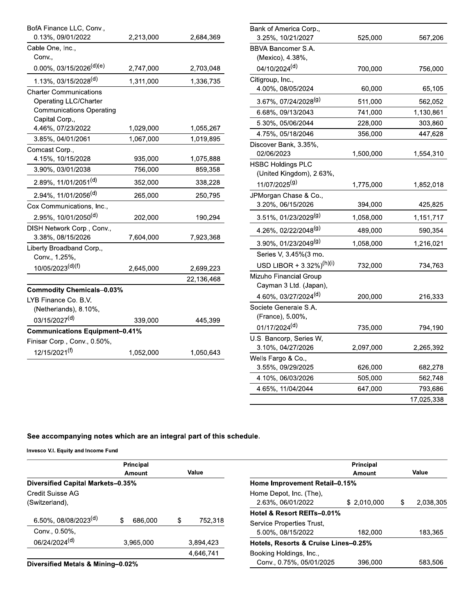| BofA Finance LLC, Conv.,<br>0.13%, 09/01/2022                                                                      | 2,213,000 | 2,684,369  |
|--------------------------------------------------------------------------------------------------------------------|-----------|------------|
| Cable One, Inc.,<br>Conv.,                                                                                         |           |            |
| $0.00\%$ , 03/15/2026 <sup>(d)(e)</sup>                                                                            | 2,747,000 | 2,703,048  |
| 1.13%, 03/15/2028 <sup>(d)</sup>                                                                                   | 1,311,000 | 1,336,735  |
| <b>Charter Communications</b><br><b>Operating LLC/Charter</b><br><b>Communications Operating</b><br>Capital Corp., |           |            |
| 4.46%, 07/23/2022                                                                                                  | 1,029,000 | 1,055,267  |
| 3.85%, 04/01/2061<br>Comcast Corp.,                                                                                | 1,067,000 | 1,019,895  |
| 4.15%, 10/15/2028                                                                                                  | 935,000   | 1,075,888  |
| 3.90%, 03/01/2038                                                                                                  | 756,000   | 859,358    |
| 2.89%, 11/01/2051(d)                                                                                               | 352,000   | 338,228    |
| 2.94%, 11/01/2056 <sup>(d)</sup>                                                                                   | 265,000   | 250,795    |
| Cox Communications, Inc.,                                                                                          |           |            |
| 2.95%, 10/01/2050 <sup>(d)</sup>                                                                                   | 202,000   | 190,294    |
| DISH Network Corp., Conv.,<br>3.38%, 08/15/2026                                                                    | 7,604,000 | 7,923,368  |
| Liberty Broadband Corp.,<br>Conv., 1.25%,                                                                          |           |            |
| 10/05/2023(d)(f)                                                                                                   | 2,645,000 | 2,699,223  |
|                                                                                                                    |           | 22,136,468 |
| <b>Commodity Chemicals-0.03%</b><br>LYB Finance Co. B.V.                                                           |           |            |
| (Netherlands), 8.10%,<br>03/15/2027(d)                                                                             | 339,000   | 445,399    |
| <b>Communications Equipment-0.41%</b>                                                                              |           |            |
| Finisar Corp., Conv., 0.50%,                                                                                       |           |            |
| 12/15/2021 <sup>(f)</sup>                                                                                          | 1,052,000 | 1,050,643  |

|       | Bank of America Corp.,               |           |            |
|-------|--------------------------------------|-----------|------------|
| 1,369 | 3.25%, 10/21/2027                    | 525,000   | 567,206    |
|       | BBVA Bancomer S.A.                   |           |            |
|       | (Mexico), 4.38%,                     |           |            |
| 3,048 | 04/10/2024 <sup>(d)</sup>            | 700,000   | 756,000    |
| 3,735 | Citigroup, Inc.,                     |           |            |
|       | 4.00%, 08/05/2024                    | 60,000    | 65,105     |
|       | 3.67%, 07/24/2028 <sup>(g)</sup>     | 511,000   | 562,052    |
|       | 6.68%, 09/13/2043                    | 741,000   | 1,130,861  |
|       | 5.30%, 05/06/2044                    | 228,000   | 303,860    |
| 5,267 | 4.75%, 05/18/2046                    | 356,000   | 447,628    |
| 9,895 | Discover Bank, 3.35%,                |           |            |
| 5,888 | 02/06/2023                           | 1,500,000 | 1,554,310  |
| 9,358 | <b>HSBC Holdings PLC</b>             |           |            |
|       | (United Kingdom), 2.63%,             |           |            |
| 3,228 | 11/07/2025 <sup>(g)</sup>            | 1,775,000 | 1,852,018  |
| ),795 | JPMorgan Chase & Co.,                |           |            |
|       | 3.20%, 06/15/2026                    | 394,000   | 425,825    |
| ),294 | 3.51%, 01/23/2029 <sup>(g)</sup>     | 1,058,000 | 1,151,717  |
|       | 4.26%, 02/22/2048 <sup>(g)</sup>     | 489,000   | 590,354    |
| 3,368 | 3.90%, 01/23/2049 <sup>(g)</sup>     | 1,058,000 | 1,216,021  |
|       | Series V, 3.45%(3 mo.                |           |            |
| 9,223 | USD LIBOR + 3.32%) <sup>(h)(i)</sup> | 732,000   | 734,763    |
| 3,468 | Mizuho Financial Group               |           |            |
|       | Cayman 3 Ltd. (Japan),               |           |            |
|       | 4.60%, 03/27/2024 <sup>(d)</sup>     | 200,000   | 216,333    |
|       | Societe Generale S.A.                |           |            |
| 5.399 | (France), 5.00%,                     |           |            |
|       | 01/17/2024 <sup>(d)</sup>            | 735,000   | 794,190    |
|       | U.S. Bancorp, Series W,              |           |            |
| 0,643 | 3.10%, 04/27/2026                    | 2,097,000 | 2,265,392  |
|       | Wells Fargo & Co.,                   |           |            |
|       | 3.55%, 09/29/2025                    | 626,000   | 682,278    |
|       | 4.10%, 06/03/2026                    | 505,000   | 562,748    |
|       | 4.65%, 11/04/2044                    | 647,000   | 793,686    |
|       |                                      |           | 17,025,338 |
|       |                                      |           |            |

invesco v.i. Equity and income Fund

|                                          | Principal    |   |           |                                      | Principal    |                 |
|------------------------------------------|--------------|---|-----------|--------------------------------------|--------------|-----------------|
|                                          | Amount       |   | Value     |                                      | Amount       | Value           |
| <b>Diversified Capital Markets-0.35%</b> |              |   |           | Home Improvement Retail-0.15%        |              |                 |
| Credit Suisse AG                         |              |   |           | Home Depot, Inc. (The),              |              |                 |
| (Switzerland),                           |              |   |           | 2.63%, 06/01/2022                    | \$ 2.010.000 | \$<br>2,038,305 |
|                                          |              |   |           | Hotel & Resort REITs-0.01%           |              |                 |
| 6.50%, 08/08/2023 <sup>(d)</sup>         | S<br>686.000 | S | 752,318   | Service Properties Trust,            |              |                 |
| Conv., 0.50%,                            |              |   |           | 5.00%, 08/15/2022                    | 182.000      | 183.365         |
| 06/24/2024 <sup>(d)</sup>                | 3.965.000    |   | 3.894.423 | Hotels, Resorts & Cruise Lines-0.25% |              |                 |
|                                          |              |   | 4,646,741 | Booking Holdings, Inc.,              |              |                 |
| Diversified Metals & Mining-0.02%        |              |   |           | Conv., 0.75%, 05/01/2025             | 396.000      | 583,506         |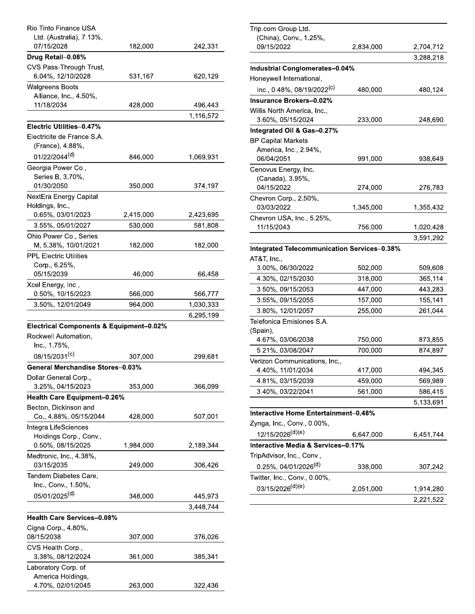| Rio Tinto Finance USA                              |           |           |
|----------------------------------------------------|-----------|-----------|
| Ltd. (Australia), 7.13%,                           |           |           |
| 07/15/2028                                         | 182,000   | 242,331   |
| Drug Retail-0.08%                                  |           |           |
| CVS Pass-Through Trust,                            |           |           |
| 6.04%, 12/10/2028                                  | 531,167   | 620,129   |
| <b>Walgreens Boots</b>                             |           |           |
| Alliance, Inc., 4.50%,                             |           |           |
| 11/18/2034                                         | 428,000   | 496,443   |
|                                                    |           | 1,116,572 |
| Electric Utilities-0.47%                           |           |           |
| Electricite de France S.A.                         |           |           |
| (France), 4.88%,                                   |           |           |
| 01/22/2044 <sup>(d)</sup>                          | 846,000   | 1,069,931 |
| Georgia Power Co.,                                 |           |           |
| Series B, 3.70%,                                   |           |           |
| 01/30/2050                                         | 350,000   | 374,197   |
| NextEra Energy Capital                             |           |           |
| Holdings, Inc.,                                    |           |           |
| 0.65%, 03/01/2023                                  | 2,415,000 | 2,423,695 |
| 3.55%, 05/01/2027                                  | 530,000   | 581,808   |
| Ohio Power Co., Series                             |           |           |
| M, 5.38%, 10/01/2021                               | 182,000   | 182,000   |
| <b>PPL Electric Utilities</b>                      |           |           |
| Corp., 6.25%,                                      |           |           |
| 05/15/2039                                         | 46,000    | 66,458    |
| Xcel Energy, Inc.,                                 |           |           |
| 0.50%, 10/15/2023                                  | 566,000   | 566,777   |
| 3.50%, 12/01/2049                                  | 964,000   | 1,030,333 |
|                                                    |           | 6,295,199 |
| <b>Electrical Components &amp; Equipment-0.02%</b> |           |           |
| Rockwell Automation,                               |           |           |
| Inc., 1.75%,                                       |           |           |
| 08/15/2031 <sup>(c)</sup>                          | 307,000   | 299,681   |
| General Merchandise Stores-0.03%                   |           |           |
| Dollar General Corp.,                              |           |           |
| 3.25%, 04/15/2023                                  | 353,000   | 366,099   |
| <b>Health Care Equipment-0.26%</b>                 |           |           |
| Becton, Dickinson and                              |           |           |
| Co., 4.88%, 05/15/2044                             | 428,000   | 507,001   |
| Integra LifeSciences                               |           |           |
| Holdings Corp., Conv.,                             |           |           |
| 0.50%, 08/15/2025                                  | 1,984,000 | 2,189,344 |
| Medtronic, Inc., 4.38%,                            |           |           |
| 03/15/2035                                         | 249,000   | 306,426   |
| Tandem Diabetes Care,                              |           |           |
| Inc., Conv., 1.50%,                                |           |           |
| 05/01/2025 <sup>(d)</sup>                          | 348,000   | 445,973   |
|                                                    |           | 3,448,744 |
| <b>Health Care Services-0.08%</b>                  |           |           |
| Cigna Corp., 4.80%,                                |           |           |
| 08/15/2038                                         | 307,000   | 376,026   |
| CVS Health Corp.,                                  |           |           |
| 3.38%, 08/12/2024                                  | 361,000   | 385,341   |
| Laboratory Corp. of                                |           |           |
| America Holdings,                                  |           |           |
| 4.70%, 02/01/2045                                  | 263,000   | 322,436   |

|       | Trip.com Group Ltd.                                |           |           |
|-------|----------------------------------------------------|-----------|-----------|
| ,331  | (China), Conv., 1.25%,<br>09/15/2022               | 2,834,000 | 2,704,712 |
|       |                                                    |           | 3,288,218 |
|       | <b>Industrial Conglomerates-0.04%</b>              |           |           |
| 1,129 | Honeywell International,                           |           |           |
|       | Inc., 0.48%, 08/19/2022 <sup>(c)</sup>             | 480,000   | 480,124   |
|       | Insurance Brokers-0.02%                            |           |           |
| ,443  | Willis North America, Inc.,                        |           |           |
| 572,  | 3.60%, 05/15/2024                                  | 233,000   | 248,690   |
|       | Integrated Oil & Gas-0.27%                         |           |           |
|       | <b>BP Capital Markets</b>                          |           |           |
|       | America, Inc., 2.94%,                              |           |           |
| 931,  | 06/04/2051                                         | 991,000   | 938,649   |
|       | Cenovus Energy, Inc.                               |           |           |
|       | (Canada), 3.95%,                                   |           |           |
| ⊦,197 | 04/15/2022                                         | 274,000   | 276,783   |
|       | Chevron Corp., 2.50%,                              |           |           |
| 8,695 | 03/03/2022                                         | 1,345,000 | 1,355,432 |
| .808  | Chevron USA, Inc., 5.25%,                          |           |           |
|       | 11/15/2043                                         | 756,000   | 1,020,428 |
| ,000  |                                                    |           | 3,591,292 |
|       | <b>Integrated Telecommunication Services-0.38%</b> |           |           |
|       | AT&T, Inc.,                                        |           |           |
| i,458 | 3.00%, 06/30/2022                                  | 502,000   | 509,608   |
|       | 4.30%, 02/15/2030                                  | 318,000   | 365,114   |
| 5,777 | 3.50%, 09/15/2053                                  | 447,000   | 443,283   |
| 1,333 | 3.55%, 09/15/2055                                  | 157,000   | 155,141   |
| 5,199 | 3.80%, 12/01/2057                                  | 255,000   | 261,044   |
|       | Telefonica Emisiones S.A.                          |           |           |
|       | (Spain),<br>4.67%, 03/06/2038                      | 750,000   | 873,855   |
|       | 5.21%, 03/08/2047                                  | 700,000   | 874,897   |
| 1,681 | Verizon Communications, Inc.,                      |           |           |
|       | 4.40%, 11/01/2034                                  | 417,000   | 494,345   |
|       | 4.81%, 03/15/2039                                  | 459,000   | 569,989   |
| 099,  | 3.40%, 03/22/2041                                  | 561,000   | 586,415   |
|       |                                                    |           | 5,133,691 |
|       | Interactive Home Entertainment-0.48%               |           |           |
| ,001  | Zynga, Inc., Conv., 0.00%,                         |           |           |
|       | 12/15/2026 <sup>(d)(e)</sup>                       | 6,647,000 | 6,451,744 |
| 344,  | Interactive Media & Services-0.17%                 |           |           |
|       | TripAdvisor, Inc., Conv.,                          |           |           |
| i,426 | 0.25%, 04/01/2026 <sup>(d)</sup>                   |           |           |
|       | Twitter, Inc., Conv., 0.00%,                       | 338,000   | 307,242   |
|       | 03/15/2026 <sup>(d)(e)</sup>                       |           |           |
| 973,  |                                                    | 2,051,000 | 1,914,280 |
| 1744  |                                                    |           | 2,221,522 |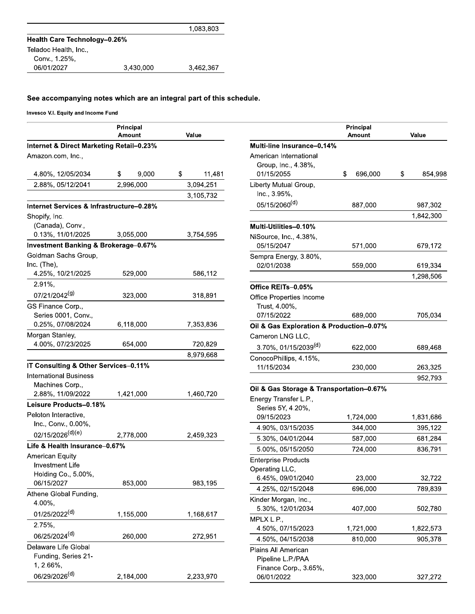|                                     |           | 1,083,803 |
|-------------------------------------|-----------|-----------|
| <b>Health Care Technology-0.26%</b> |           |           |
| Teladoc Health, Inc.,               |           |           |
| Conv., 1.25%,                       |           |           |
| 06/01/2027                          | 3.430.000 | 3,462,367 |

| Principal<br>Principal<br>Value<br>Value<br>Amount<br>Amount<br>Internet & Direct Marketing Retail-0.23%<br>Multi-line Insurance-0.14%<br>American International<br>Amazon.com, Inc.,<br>Group, Inc., 4.38%,<br>\$<br>01/15/2055<br>\$<br>696,000<br>\$<br>4.80%, 12/05/2034<br>\$<br>9.000<br>11,481<br>2.88%, 05/12/2041<br>2,996,000<br>3,094,251<br>Liberty Mutual Group,<br>Inc., 3.95%,<br>3,105,732<br>05/15/2060 <sup>(d)</sup><br>887,000<br>Internet Services & Infrastructure-0.28%<br>Shopify, Inc.<br>(Canada), Conv.,<br>Multi-Utilities-0.10%<br>0.13%, 11/01/2025<br>3,055,000<br>3,754,595<br>NiSource, Inc., 4.38%,<br><b>Investment Banking &amp; Brokerage-0.67%</b><br>05/15/2047<br>571,000<br>Goldman Sachs Group.<br>Sempra Energy, 3.80%,<br>Inc. (The),<br>02/01/2038<br>559,000<br>4.25%, 10/21/2025<br>529,000<br>586,112<br>2.91%,<br>Office REITs-0.05%<br>07/21/2042 <sup>(g)</sup><br>318,891<br>323,000<br>Office Properties Income<br>GS Finance Corp.,<br>Trust, 4.00%,<br>07/15/2022<br>689,000<br>Series 0001, Conv.,<br>0.25%, 07/08/2024<br>6,118,000<br>7,353,836<br>Oil & Gas Exploration & Production-0.07%<br>Morgan Stanley,<br>Cameron LNG LLC,<br>4.00%, 07/23/2025<br>654,000<br>720,829<br>3.70%, 01/15/2039 <sup>(d)</sup><br>622,000<br>8,979,668<br>ConocoPhillips, 4.15%,<br>IT Consulting & Other Services-0.11%<br>11/15/2034<br>230,000<br><b>International Business</b><br>Machines Corp.,<br>Oil & Gas Storage & Transportation-0.67%<br>2.88%, 11/09/2022<br>1,421,000<br>1,460,720<br>Energy Transfer L.P.,<br>Leisure Products-0.18%<br>Series 5Y, 4.20%,<br>Peloton Interactive,<br>09/15/2023<br>1,724,000<br>Inc., Conv., 0.00%,<br>4.90%, 03/15/2035<br>344,000<br>02/15/2026(d)(e)<br>2,778,000<br>2,459,323<br>5.30%, 04/01/2044<br>587,000<br>Life & Health Insurance-0.67%<br>5.00%, 05/15/2050<br>724,000<br><b>American Equity</b><br><b>Enterprise Products</b><br><b>Investment Life</b><br>Operating LLC,<br>Holding Co., 5.00%,<br>6.45%, 09/01/2040<br>23,000<br>06/15/2027<br>853,000<br>983,195<br>4.25%, 02/15/2048<br>696,000<br>Athene Global Funding,<br>Kinder Morgan, Inc.,<br>4.00%,<br>5.30%, 12/01/2034<br>407,000<br>01/25/2022 <sup>(d)</sup><br>1,168,617<br>1,155,000<br>MPLX L.P.,<br>2.75%,<br>4.50%, 07/15/2023<br>1,721,000<br>06/25/2024 <sup>(d)</sup><br>260,000<br>272,951<br>4.50%, 04/15/2038<br>810,000<br>Delaware Life Global<br>Plains All American<br>Funding, Series 21- | Invesco V.I. Equity and Income Fund |  |                   |           |
|------------------------------------------------------------------------------------------------------------------------------------------------------------------------------------------------------------------------------------------------------------------------------------------------------------------------------------------------------------------------------------------------------------------------------------------------------------------------------------------------------------------------------------------------------------------------------------------------------------------------------------------------------------------------------------------------------------------------------------------------------------------------------------------------------------------------------------------------------------------------------------------------------------------------------------------------------------------------------------------------------------------------------------------------------------------------------------------------------------------------------------------------------------------------------------------------------------------------------------------------------------------------------------------------------------------------------------------------------------------------------------------------------------------------------------------------------------------------------------------------------------------------------------------------------------------------------------------------------------------------------------------------------------------------------------------------------------------------------------------------------------------------------------------------------------------------------------------------------------------------------------------------------------------------------------------------------------------------------------------------------------------------------------------------------------------------------------------------------------------------------------------------------------------------------------------------------------------------------------------------------------------------------------------------------------------------------------------------------------------------------------------------------------------------------------------------------------------------------------|-------------------------------------|--|-------------------|-----------|
|                                                                                                                                                                                                                                                                                                                                                                                                                                                                                                                                                                                                                                                                                                                                                                                                                                                                                                                                                                                                                                                                                                                                                                                                                                                                                                                                                                                                                                                                                                                                                                                                                                                                                                                                                                                                                                                                                                                                                                                                                                                                                                                                                                                                                                                                                                                                                                                                                                                                                    |                                     |  |                   |           |
|                                                                                                                                                                                                                                                                                                                                                                                                                                                                                                                                                                                                                                                                                                                                                                                                                                                                                                                                                                                                                                                                                                                                                                                                                                                                                                                                                                                                                                                                                                                                                                                                                                                                                                                                                                                                                                                                                                                                                                                                                                                                                                                                                                                                                                                                                                                                                                                                                                                                                    |                                     |  |                   |           |
|                                                                                                                                                                                                                                                                                                                                                                                                                                                                                                                                                                                                                                                                                                                                                                                                                                                                                                                                                                                                                                                                                                                                                                                                                                                                                                                                                                                                                                                                                                                                                                                                                                                                                                                                                                                                                                                                                                                                                                                                                                                                                                                                                                                                                                                                                                                                                                                                                                                                                    |                                     |  |                   |           |
|                                                                                                                                                                                                                                                                                                                                                                                                                                                                                                                                                                                                                                                                                                                                                                                                                                                                                                                                                                                                                                                                                                                                                                                                                                                                                                                                                                                                                                                                                                                                                                                                                                                                                                                                                                                                                                                                                                                                                                                                                                                                                                                                                                                                                                                                                                                                                                                                                                                                                    |                                     |  |                   |           |
|                                                                                                                                                                                                                                                                                                                                                                                                                                                                                                                                                                                                                                                                                                                                                                                                                                                                                                                                                                                                                                                                                                                                                                                                                                                                                                                                                                                                                                                                                                                                                                                                                                                                                                                                                                                                                                                                                                                                                                                                                                                                                                                                                                                                                                                                                                                                                                                                                                                                                    |                                     |  |                   | 854,998   |
|                                                                                                                                                                                                                                                                                                                                                                                                                                                                                                                                                                                                                                                                                                                                                                                                                                                                                                                                                                                                                                                                                                                                                                                                                                                                                                                                                                                                                                                                                                                                                                                                                                                                                                                                                                                                                                                                                                                                                                                                                                                                                                                                                                                                                                                                                                                                                                                                                                                                                    |                                     |  |                   |           |
|                                                                                                                                                                                                                                                                                                                                                                                                                                                                                                                                                                                                                                                                                                                                                                                                                                                                                                                                                                                                                                                                                                                                                                                                                                                                                                                                                                                                                                                                                                                                                                                                                                                                                                                                                                                                                                                                                                                                                                                                                                                                                                                                                                                                                                                                                                                                                                                                                                                                                    |                                     |  |                   |           |
|                                                                                                                                                                                                                                                                                                                                                                                                                                                                                                                                                                                                                                                                                                                                                                                                                                                                                                                                                                                                                                                                                                                                                                                                                                                                                                                                                                                                                                                                                                                                                                                                                                                                                                                                                                                                                                                                                                                                                                                                                                                                                                                                                                                                                                                                                                                                                                                                                                                                                    |                                     |  |                   | 987,302   |
|                                                                                                                                                                                                                                                                                                                                                                                                                                                                                                                                                                                                                                                                                                                                                                                                                                                                                                                                                                                                                                                                                                                                                                                                                                                                                                                                                                                                                                                                                                                                                                                                                                                                                                                                                                                                                                                                                                                                                                                                                                                                                                                                                                                                                                                                                                                                                                                                                                                                                    |                                     |  |                   | 1,842,300 |
|                                                                                                                                                                                                                                                                                                                                                                                                                                                                                                                                                                                                                                                                                                                                                                                                                                                                                                                                                                                                                                                                                                                                                                                                                                                                                                                                                                                                                                                                                                                                                                                                                                                                                                                                                                                                                                                                                                                                                                                                                                                                                                                                                                                                                                                                                                                                                                                                                                                                                    |                                     |  |                   |           |
|                                                                                                                                                                                                                                                                                                                                                                                                                                                                                                                                                                                                                                                                                                                                                                                                                                                                                                                                                                                                                                                                                                                                                                                                                                                                                                                                                                                                                                                                                                                                                                                                                                                                                                                                                                                                                                                                                                                                                                                                                                                                                                                                                                                                                                                                                                                                                                                                                                                                                    |                                     |  |                   |           |
|                                                                                                                                                                                                                                                                                                                                                                                                                                                                                                                                                                                                                                                                                                                                                                                                                                                                                                                                                                                                                                                                                                                                                                                                                                                                                                                                                                                                                                                                                                                                                                                                                                                                                                                                                                                                                                                                                                                                                                                                                                                                                                                                                                                                                                                                                                                                                                                                                                                                                    |                                     |  |                   | 679,172   |
|                                                                                                                                                                                                                                                                                                                                                                                                                                                                                                                                                                                                                                                                                                                                                                                                                                                                                                                                                                                                                                                                                                                                                                                                                                                                                                                                                                                                                                                                                                                                                                                                                                                                                                                                                                                                                                                                                                                                                                                                                                                                                                                                                                                                                                                                                                                                                                                                                                                                                    |                                     |  |                   |           |
|                                                                                                                                                                                                                                                                                                                                                                                                                                                                                                                                                                                                                                                                                                                                                                                                                                                                                                                                                                                                                                                                                                                                                                                                                                                                                                                                                                                                                                                                                                                                                                                                                                                                                                                                                                                                                                                                                                                                                                                                                                                                                                                                                                                                                                                                                                                                                                                                                                                                                    |                                     |  |                   | 619,334   |
|                                                                                                                                                                                                                                                                                                                                                                                                                                                                                                                                                                                                                                                                                                                                                                                                                                                                                                                                                                                                                                                                                                                                                                                                                                                                                                                                                                                                                                                                                                                                                                                                                                                                                                                                                                                                                                                                                                                                                                                                                                                                                                                                                                                                                                                                                                                                                                                                                                                                                    |                                     |  |                   | 1,298,506 |
|                                                                                                                                                                                                                                                                                                                                                                                                                                                                                                                                                                                                                                                                                                                                                                                                                                                                                                                                                                                                                                                                                                                                                                                                                                                                                                                                                                                                                                                                                                                                                                                                                                                                                                                                                                                                                                                                                                                                                                                                                                                                                                                                                                                                                                                                                                                                                                                                                                                                                    |                                     |  |                   |           |
|                                                                                                                                                                                                                                                                                                                                                                                                                                                                                                                                                                                                                                                                                                                                                                                                                                                                                                                                                                                                                                                                                                                                                                                                                                                                                                                                                                                                                                                                                                                                                                                                                                                                                                                                                                                                                                                                                                                                                                                                                                                                                                                                                                                                                                                                                                                                                                                                                                                                                    |                                     |  |                   |           |
|                                                                                                                                                                                                                                                                                                                                                                                                                                                                                                                                                                                                                                                                                                                                                                                                                                                                                                                                                                                                                                                                                                                                                                                                                                                                                                                                                                                                                                                                                                                                                                                                                                                                                                                                                                                                                                                                                                                                                                                                                                                                                                                                                                                                                                                                                                                                                                                                                                                                                    |                                     |  |                   |           |
|                                                                                                                                                                                                                                                                                                                                                                                                                                                                                                                                                                                                                                                                                                                                                                                                                                                                                                                                                                                                                                                                                                                                                                                                                                                                                                                                                                                                                                                                                                                                                                                                                                                                                                                                                                                                                                                                                                                                                                                                                                                                                                                                                                                                                                                                                                                                                                                                                                                                                    |                                     |  |                   | 705,034   |
|                                                                                                                                                                                                                                                                                                                                                                                                                                                                                                                                                                                                                                                                                                                                                                                                                                                                                                                                                                                                                                                                                                                                                                                                                                                                                                                                                                                                                                                                                                                                                                                                                                                                                                                                                                                                                                                                                                                                                                                                                                                                                                                                                                                                                                                                                                                                                                                                                                                                                    |                                     |  |                   |           |
|                                                                                                                                                                                                                                                                                                                                                                                                                                                                                                                                                                                                                                                                                                                                                                                                                                                                                                                                                                                                                                                                                                                                                                                                                                                                                                                                                                                                                                                                                                                                                                                                                                                                                                                                                                                                                                                                                                                                                                                                                                                                                                                                                                                                                                                                                                                                                                                                                                                                                    |                                     |  |                   |           |
|                                                                                                                                                                                                                                                                                                                                                                                                                                                                                                                                                                                                                                                                                                                                                                                                                                                                                                                                                                                                                                                                                                                                                                                                                                                                                                                                                                                                                                                                                                                                                                                                                                                                                                                                                                                                                                                                                                                                                                                                                                                                                                                                                                                                                                                                                                                                                                                                                                                                                    |                                     |  |                   | 689,468   |
|                                                                                                                                                                                                                                                                                                                                                                                                                                                                                                                                                                                                                                                                                                                                                                                                                                                                                                                                                                                                                                                                                                                                                                                                                                                                                                                                                                                                                                                                                                                                                                                                                                                                                                                                                                                                                                                                                                                                                                                                                                                                                                                                                                                                                                                                                                                                                                                                                                                                                    |                                     |  |                   |           |
|                                                                                                                                                                                                                                                                                                                                                                                                                                                                                                                                                                                                                                                                                                                                                                                                                                                                                                                                                                                                                                                                                                                                                                                                                                                                                                                                                                                                                                                                                                                                                                                                                                                                                                                                                                                                                                                                                                                                                                                                                                                                                                                                                                                                                                                                                                                                                                                                                                                                                    |                                     |  |                   | 263,325   |
|                                                                                                                                                                                                                                                                                                                                                                                                                                                                                                                                                                                                                                                                                                                                                                                                                                                                                                                                                                                                                                                                                                                                                                                                                                                                                                                                                                                                                                                                                                                                                                                                                                                                                                                                                                                                                                                                                                                                                                                                                                                                                                                                                                                                                                                                                                                                                                                                                                                                                    |                                     |  |                   | 952,793   |
|                                                                                                                                                                                                                                                                                                                                                                                                                                                                                                                                                                                                                                                                                                                                                                                                                                                                                                                                                                                                                                                                                                                                                                                                                                                                                                                                                                                                                                                                                                                                                                                                                                                                                                                                                                                                                                                                                                                                                                                                                                                                                                                                                                                                                                                                                                                                                                                                                                                                                    |                                     |  |                   |           |
|                                                                                                                                                                                                                                                                                                                                                                                                                                                                                                                                                                                                                                                                                                                                                                                                                                                                                                                                                                                                                                                                                                                                                                                                                                                                                                                                                                                                                                                                                                                                                                                                                                                                                                                                                                                                                                                                                                                                                                                                                                                                                                                                                                                                                                                                                                                                                                                                                                                                                    |                                     |  |                   |           |
|                                                                                                                                                                                                                                                                                                                                                                                                                                                                                                                                                                                                                                                                                                                                                                                                                                                                                                                                                                                                                                                                                                                                                                                                                                                                                                                                                                                                                                                                                                                                                                                                                                                                                                                                                                                                                                                                                                                                                                                                                                                                                                                                                                                                                                                                                                                                                                                                                                                                                    |                                     |  |                   |           |
|                                                                                                                                                                                                                                                                                                                                                                                                                                                                                                                                                                                                                                                                                                                                                                                                                                                                                                                                                                                                                                                                                                                                                                                                                                                                                                                                                                                                                                                                                                                                                                                                                                                                                                                                                                                                                                                                                                                                                                                                                                                                                                                                                                                                                                                                                                                                                                                                                                                                                    |                                     |  |                   | 1,831,686 |
|                                                                                                                                                                                                                                                                                                                                                                                                                                                                                                                                                                                                                                                                                                                                                                                                                                                                                                                                                                                                                                                                                                                                                                                                                                                                                                                                                                                                                                                                                                                                                                                                                                                                                                                                                                                                                                                                                                                                                                                                                                                                                                                                                                                                                                                                                                                                                                                                                                                                                    |                                     |  |                   | 395,122   |
|                                                                                                                                                                                                                                                                                                                                                                                                                                                                                                                                                                                                                                                                                                                                                                                                                                                                                                                                                                                                                                                                                                                                                                                                                                                                                                                                                                                                                                                                                                                                                                                                                                                                                                                                                                                                                                                                                                                                                                                                                                                                                                                                                                                                                                                                                                                                                                                                                                                                                    |                                     |  |                   | 681,284   |
|                                                                                                                                                                                                                                                                                                                                                                                                                                                                                                                                                                                                                                                                                                                                                                                                                                                                                                                                                                                                                                                                                                                                                                                                                                                                                                                                                                                                                                                                                                                                                                                                                                                                                                                                                                                                                                                                                                                                                                                                                                                                                                                                                                                                                                                                                                                                                                                                                                                                                    |                                     |  |                   | 836,791   |
|                                                                                                                                                                                                                                                                                                                                                                                                                                                                                                                                                                                                                                                                                                                                                                                                                                                                                                                                                                                                                                                                                                                                                                                                                                                                                                                                                                                                                                                                                                                                                                                                                                                                                                                                                                                                                                                                                                                                                                                                                                                                                                                                                                                                                                                                                                                                                                                                                                                                                    |                                     |  |                   |           |
|                                                                                                                                                                                                                                                                                                                                                                                                                                                                                                                                                                                                                                                                                                                                                                                                                                                                                                                                                                                                                                                                                                                                                                                                                                                                                                                                                                                                                                                                                                                                                                                                                                                                                                                                                                                                                                                                                                                                                                                                                                                                                                                                                                                                                                                                                                                                                                                                                                                                                    |                                     |  |                   |           |
|                                                                                                                                                                                                                                                                                                                                                                                                                                                                                                                                                                                                                                                                                                                                                                                                                                                                                                                                                                                                                                                                                                                                                                                                                                                                                                                                                                                                                                                                                                                                                                                                                                                                                                                                                                                                                                                                                                                                                                                                                                                                                                                                                                                                                                                                                                                                                                                                                                                                                    |                                     |  |                   | 32,722    |
|                                                                                                                                                                                                                                                                                                                                                                                                                                                                                                                                                                                                                                                                                                                                                                                                                                                                                                                                                                                                                                                                                                                                                                                                                                                                                                                                                                                                                                                                                                                                                                                                                                                                                                                                                                                                                                                                                                                                                                                                                                                                                                                                                                                                                                                                                                                                                                                                                                                                                    |                                     |  |                   | 789,839   |
|                                                                                                                                                                                                                                                                                                                                                                                                                                                                                                                                                                                                                                                                                                                                                                                                                                                                                                                                                                                                                                                                                                                                                                                                                                                                                                                                                                                                                                                                                                                                                                                                                                                                                                                                                                                                                                                                                                                                                                                                                                                                                                                                                                                                                                                                                                                                                                                                                                                                                    |                                     |  |                   |           |
|                                                                                                                                                                                                                                                                                                                                                                                                                                                                                                                                                                                                                                                                                                                                                                                                                                                                                                                                                                                                                                                                                                                                                                                                                                                                                                                                                                                                                                                                                                                                                                                                                                                                                                                                                                                                                                                                                                                                                                                                                                                                                                                                                                                                                                                                                                                                                                                                                                                                                    |                                     |  |                   | 502,780   |
|                                                                                                                                                                                                                                                                                                                                                                                                                                                                                                                                                                                                                                                                                                                                                                                                                                                                                                                                                                                                                                                                                                                                                                                                                                                                                                                                                                                                                                                                                                                                                                                                                                                                                                                                                                                                                                                                                                                                                                                                                                                                                                                                                                                                                                                                                                                                                                                                                                                                                    |                                     |  |                   |           |
|                                                                                                                                                                                                                                                                                                                                                                                                                                                                                                                                                                                                                                                                                                                                                                                                                                                                                                                                                                                                                                                                                                                                                                                                                                                                                                                                                                                                                                                                                                                                                                                                                                                                                                                                                                                                                                                                                                                                                                                                                                                                                                                                                                                                                                                                                                                                                                                                                                                                                    |                                     |  |                   | 1,822,573 |
|                                                                                                                                                                                                                                                                                                                                                                                                                                                                                                                                                                                                                                                                                                                                                                                                                                                                                                                                                                                                                                                                                                                                                                                                                                                                                                                                                                                                                                                                                                                                                                                                                                                                                                                                                                                                                                                                                                                                                                                                                                                                                                                                                                                                                                                                                                                                                                                                                                                                                    |                                     |  |                   | 905,378   |
|                                                                                                                                                                                                                                                                                                                                                                                                                                                                                                                                                                                                                                                                                                                                                                                                                                                                                                                                                                                                                                                                                                                                                                                                                                                                                                                                                                                                                                                                                                                                                                                                                                                                                                                                                                                                                                                                                                                                                                                                                                                                                                                                                                                                                                                                                                                                                                                                                                                                                    |                                     |  |                   |           |
| 1, 2.66%,                                                                                                                                                                                                                                                                                                                                                                                                                                                                                                                                                                                                                                                                                                                                                                                                                                                                                                                                                                                                                                                                                                                                                                                                                                                                                                                                                                                                                                                                                                                                                                                                                                                                                                                                                                                                                                                                                                                                                                                                                                                                                                                                                                                                                                                                                                                                                                                                                                                                          |                                     |  | Pipeline L.P./PAA |           |
| Finance Corp., 3.65%,<br>06/29/2026 <sup>(d)</sup><br>2,233,970<br>2,184,000<br>06/01/2022<br>323,000                                                                                                                                                                                                                                                                                                                                                                                                                                                                                                                                                                                                                                                                                                                                                                                                                                                                                                                                                                                                                                                                                                                                                                                                                                                                                                                                                                                                                                                                                                                                                                                                                                                                                                                                                                                                                                                                                                                                                                                                                                                                                                                                                                                                                                                                                                                                                                              |                                     |  |                   | 327,272   |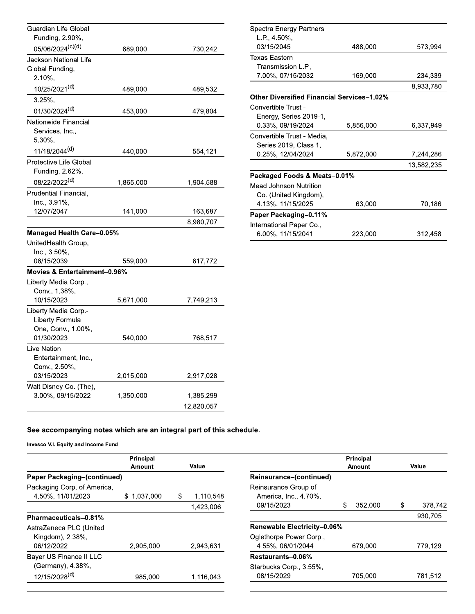| Guardian Life Global<br>Funding, 2.90%, |           |            |
|-----------------------------------------|-----------|------------|
| 05/06/2024 <sup>(c)(d)</sup>            | 689,000   | 730,242    |
| Jackson National Life                   |           |            |
| Global Funding,                         |           |            |
| $2.10\%$                                |           |            |
| 10/25/2021 <sup>(d)</sup>               | 489,000   | 489,532    |
| 3.25%,                                  |           |            |
| 01/30/2024 <sup>(d)</sup>               | 453,000   | 479,804    |
| Nationwide Financial                    |           |            |
| Services, Inc.,                         |           |            |
| 5.30%,                                  |           |            |
| 11/18/2044 <sup>(d)</sup>               | 440,000   | 554,121    |
| <b>Protective Life Global</b>           |           |            |
| Funding, 2.62%,                         |           |            |
| 08/22/2022 <sup>(d)</sup>               | 1,865,000 | 1,904,588  |
| Prudential Financial.                   |           |            |
| Inc., 3.91%,                            |           |            |
| 12/07/2047                              | 141,000   | 163,687    |
|                                         |           | 8,980,707  |
| <b>Managed Health Care-0.05%</b>        |           |            |
| UnitedHealth Group,                     |           |            |
| Inc., 3.50%,                            |           |            |
| 08/15/2039                              | 559,000   | 617,772    |
| Movies & Entertainment-0.96%            |           |            |
| Liberty Media Corp.,                    |           |            |
| Conv., 1.38%,                           |           |            |
| 10/15/2023                              | 5,671,000 | 7,749,213  |
| Liberty Media Corp.-                    |           |            |
| Liberty Formula                         |           |            |
| One, Conv., 1.00%,                      |           |            |
| 01/30/2023                              | 540,000   | 768,517    |
| Live Nation                             |           |            |
| Entertainment, Inc.,                    |           |            |
| Conv., 2.50%,<br>03/15/2023             | 2,015,000 | 2,917,028  |
| Walt Disney Co. (The),                  |           |            |
| 3.00%, 09/15/2022                       | 1,350,000 | 1,385,299  |
|                                         |           | 12.820.057 |

| Spectra Energy Partners                           |           |            |
|---------------------------------------------------|-----------|------------|
| $L.P., 4.50\%$                                    |           |            |
| 03/15/2045                                        | 488,000   | 573,994    |
| Texas Eastern                                     |           |            |
| Transmission L.P.,                                |           |            |
| 7.00%, 07/15/2032                                 | 169,000   | 234,339    |
|                                                   |           | 8,933,780  |
| <b>Other Diversified Financial Services-1.02%</b> |           |            |
| Convertible Trust -                               |           |            |
| Energy, Series 2019-1,                            |           |            |
| 0.33%, 09/19/2024                                 | 5,856,000 | 6,337,949  |
| Convertible Trust - Media,                        |           |            |
| Series 2019, Class 1,                             |           |            |
| 0.25%, 12/04/2024                                 | 5,872,000 | 7,244,286  |
|                                                   |           | 13,582,235 |
| Packaged Foods & Meats-0.01%                      |           |            |
| Mead Johnson Nutrition                            |           |            |
| Co. (United Kingdom),                             |           |            |
| 4.13%, 11/15/2025                                 | 63,000    | 70,186     |
| Paper Packaging-0.11%                             |           |            |
| International Paper Co.,                          |           |            |
| 6.00%, 11/15/2041                                 | 223,000   | 312,458    |

|                             | Principal       |       |           |
|-----------------------------|-----------------|-------|-----------|
|                             | Amount          | Value |           |
| Paper Packaging-(continued) |                 |       |           |
| Packaging Corp. of America, |                 |       |           |
| 4.50%, 11/01/2023           | 1.037.000<br>S. | \$    | 1,110,548 |
|                             |                 |       | 1.423.006 |
| Pharmaceuticals-0.81%       |                 |       |           |
| AstraZeneca PLC (United     |                 |       |           |
| Kingdom), 2.38%,            |                 |       |           |
| 06/12/2022                  | 2,905,000       |       | 2,943,631 |
| Bayer US Finance II LLC     |                 |       |           |
| (Germany), 4.38%,           |                 |       |           |
| 12/15/2028 <sup>(d)</sup>   | 985,000         |       | 1.116.043 |

|                             |        | Principal |   |         |
|-----------------------------|--------|-----------|---|---------|
|                             | Amount |           |   | Value   |
| Reinsurance-(continued)     |        |           |   |         |
| Reinsurance Group of        |        |           |   |         |
| America, Inc., 4.70%,       |        |           |   |         |
| 09/15/2023                  | \$     | 352,000   | S | 378,742 |
|                             |        |           |   | 930,705 |
| Renewable Electricity-0.06% |        |           |   |         |
| Oglethorpe Power Corp.,     |        |           |   |         |
| 4.55%, 06/01/2044           |        | 679,000   |   | 779.129 |
| Restaurants-0.06%           |        |           |   |         |
| Starbucks Corp., 3.55%,     |        |           |   |         |
| 08/15/2029                  |        | 705.000   |   | 781,512 |
|                             |        |           |   |         |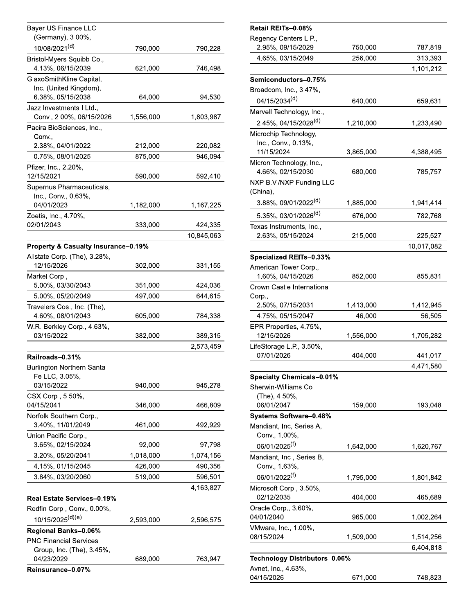| <b>Bayer US Finance LLC</b>                               |           |            | <b>Retail RE</b>      |
|-----------------------------------------------------------|-----------|------------|-----------------------|
| (Germany), 3.00%,                                         |           |            | Regency (             |
| 10/08/2021(d)                                             | 790,000   | 790,228    | 2.95%,                |
| Bristol-Myers Squibb Co.,<br>4.13%, 06/15/2039            | 621,000   | 746,498    | 4.65%,                |
| GlaxoSmithKline Capital,                                  |           |            | Semicono              |
| Inc. (United Kingdom),                                    |           |            | Broadcom              |
| 6.38%, 05/15/2038                                         | 64,000    | 94,530     | 04/15/2               |
| Jazz Investments I Ltd.,                                  |           |            | Marvell Te            |
| Conv., 2.00%, 06/15/2026                                  | 1,556,000 | 1,803,987  | $2.45%$ ,             |
| Pacira BioSciences, Inc.,<br>Conv.,                       |           |            | Microchip             |
| 2.38%, 04/01/2022                                         | 212,000   | 220,082    | Inc., Co              |
| 0.75%, 08/01/2025                                         | 875,000   | 946,094    | 11/15/20              |
| Pfizer, Inc., 2.20%,                                      |           |            | Micron Te             |
| 12/15/2021                                                | 590,000   | 592,410    | 4.66%,                |
| Supernus Pharmaceuticals,<br>Inc., Conv., 0.63%,          |           |            | NXP B.V./<br>(China), |
| 04/01/2023                                                | 1,182,000 | 1,167,225  | $3.88\%$ ,            |
| Zoetis, Inc., 4.70%,                                      |           |            | 5.35%,                |
| 02/01/2043                                                | 333,000   | 424,335    | <b>Texas Inst</b>     |
|                                                           |           | 10,845,063 | 2.63%,                |
| Property & Casualty Insurance-0.19%                       |           |            |                       |
| Allstate Corp. (The), 3.28%,                              |           |            | <b>Specialize</b>     |
| 12/15/2026                                                | 302,000   | 331,155    | American              |
| Markel Corp.,                                             |           |            | 1.60%,                |
| 5.00%, 03/30/2043                                         | 351,000   | 424,036    | Crown Ca              |
| 5.00%, 05/20/2049                                         | 497,000   | 644,615    | Corp.,                |
| Travelers Cos., Inc. (The),<br>4.60%, 08/01/2043          | 605,000   | 784,338    | $2.50\%$ ,<br>4.75%,  |
| W.R. Berkley Corp., 4.63%,                                |           |            | <b>EPR Prop</b>       |
| 03/15/2022                                                | 382,000   | 389,315    | 12/15/2               |
|                                                           |           | 2,573,459  | LifeStorag            |
| Railroads-0.31%                                           |           |            | 07/01/2               |
| Burlington Northern Santa                                 |           |            |                       |
| Fe LLC, 3.05%,<br>03/15/2022                              | 940,000   | 945,278    | <b>Specialty</b>      |
| CSX Corp., 5.50%,                                         |           |            | Sherwin-V<br>(The), 4 |
| 04/15/2041                                                | 346,000   | 466,809    | 06/01/2               |
| Norfolk Southern Corp.,                                   |           |            | <b>Systems</b>        |
| 3.40%, 11/01/2049                                         | 461,000   | 492,929    | Mandiant,             |
| Union Pacific Corp.,                                      |           |            | Conv., 1              |
| 3.65%, 02/15/2024                                         | 92,000    | 97,798     | 06/01/2               |
| 3.20%, 05/20/2041                                         | 1,018,000 | 1,074,156  | Mandiant,             |
| 4.15%, 01/15/2045                                         | 426,000   | 490,356    | Conv., 1              |
| 3.84%, 03/20/2060                                         | 519,000   | 596,501    | 06/01/2               |
|                                                           |           | 4,163,827  | Microsoft<br>02/12/2  |
| Real Estate Services-0.19%<br>Redfin Corp., Conv., 0.00%, |           |            | Oracle Co             |
| 10/15/2025 <sup>(d)(e)</sup>                              |           |            | 04/01/204             |
|                                                           | 2,593,000 | 2,596,575  | VMware, I             |
| Regional Banks-0.06%<br><b>PNC Financial Services</b>     |           |            | 08/15/202             |
| Group, Inc. (The), 3.45%,                                 |           |            |                       |
| 04/23/2029                                                | 689,000   | 763,947    | Technolo              |
| Reinsurance-0.07%                                         |           |            | Avnet, Inc            |

|         | Retail REITs-0.08%                         |           |            |
|---------|--------------------------------------------|-----------|------------|
| 790,228 | Regency Centers L.P.,<br>2.95%, 09/15/2029 | 750,000   | 787,819    |
|         | 4.65%, 03/15/2049                          | 256,000   | 313,393    |
| 746,498 |                                            |           | 1,101,212  |
|         | Semiconductors-0.75%                       |           |            |
|         | Broadcom, Inc., 3.47%,                     |           |            |
| 94,530  | 04/15/2034 <sup>(d)</sup>                  | 640,000   | 659,631    |
|         | Marvell Technology, Inc.,                  |           |            |
| 303,987 | 2.45%, 04/15/2028 <sup>(d)</sup>           | 1,210,000 | 1,233,490  |
|         | Microchip Technology,                      |           |            |
|         | Inc., Conv., 0.13%,                        |           |            |
| 220,082 | 11/15/2024                                 | 3,865,000 | 4,388,495  |
| 946,094 | Micron Technology, Inc.,                   |           |            |
|         | 4.66%, 02/15/2030                          | 680,000   | 785,757    |
| 592,410 | NXP B.V./NXP Funding LLC                   |           |            |
|         | (China),                                   |           |            |
| 167,225 | 3.88%, 09/01/2022 <sup>(d)</sup>           | 1,885,000 | 1,941,414  |
|         | 5.35%, 03/01/2026 <sup>(d)</sup>           | 676,000   | 782,768    |
| 124,335 | Texas Instruments, Inc.,                   |           |            |
| 345,063 | 2.63%, 05/15/2024                          | 215,000   | 225,527    |
|         |                                            |           | 10,017,082 |
|         | Specialized REITs-0.33%                    |           |            |
| 331,155 | American Tower Corp.,                      |           |            |
|         | 1.60%, 04/15/2026                          | 852,000   | 855,831    |
| 124,036 | Crown Castle International                 |           |            |
| 344,615 | Corp.,                                     |           |            |
|         | 2.50%, 07/15/2031                          | 1,413,000 | 1,412,945  |
| 784,338 | 4.75%, 05/15/2047                          | 46,000    | 56,505     |
|         | EPR Properties, 4.75%,                     |           |            |
| 389,315 | 12/15/2026                                 | 1,556,000 | 1,705,282  |
| 573,459 | LifeStorage L.P., 3.50%,                   |           |            |
|         | 07/01/2026                                 | 404,000   | 441,017    |
|         |                                            |           | 4,471,580  |
|         | <b>Specialty Chemicals-0.01%</b>           |           |            |
| 945,278 | Sherwin-Williams Co.                       |           |            |
|         | (The), 4.50%,                              |           |            |
| 166,809 | 06/01/2047                                 | 159,000   | 193,048    |
|         | <b>Systems Software-0.48%</b>              |           |            |
| 192,929 | Mandiant, Inc, Series A,                   |           |            |
|         | Conv., 1.00%,                              |           |            |
| 97,798  | 06/01/2025 <sup>(f)</sup>                  | 1,642,000 | 1,620,767  |
| 074,156 | Mandiant, Inc., Series B,                  |           |            |
| 190,356 | Conv., 1.63%,                              |           |            |
| 596,501 | 06/01/2022 <sup>(f)</sup>                  | 1,795,000 | 1,801,842  |
| 163,827 | Microsoft Corp., 3.50%,                    |           |            |
|         | 02/12/2035                                 | 404,000   | 465,689    |
|         | Oracle Corp., 3.60%,                       |           |            |
| 596,575 | 04/01/2040                                 | 965,000   | 1,002,264  |
|         | VMware, Inc., 1.00%,                       |           |            |
|         | 08/15/2024                                 | 1,509,000 | 1,514,256  |
|         |                                            |           | 6,404,818  |
| 763,947 | Technology Distributors–0.06%              |           |            |
|         | Avnet, Inc., 4.63%,                        |           |            |
|         | 04/15/2026                                 | 671,000   | 748,823    |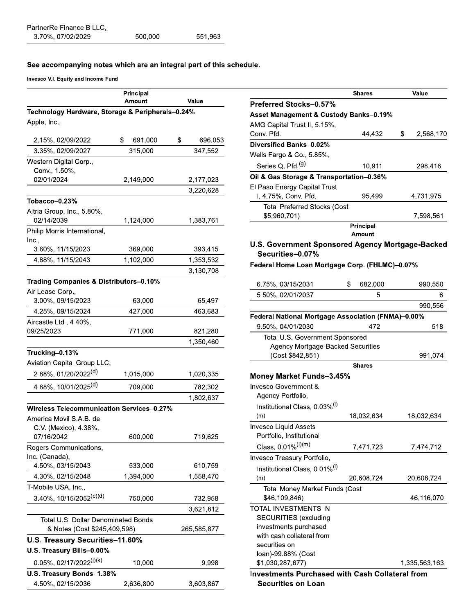|                                                  | Principal<br>Amount | Value         |  |  |
|--------------------------------------------------|---------------------|---------------|--|--|
| Technology Hardware, Storage & Peripherals-0.24% |                     |               |  |  |
| Apple, Inc.,                                     |                     |               |  |  |
| 2.15%, 02/09/2022                                | \$<br>691,000       | \$<br>696,053 |  |  |
| 3.35%, 02/09/2027                                | 315,000             | 347,552       |  |  |
|                                                  |                     |               |  |  |
| Western Digital Corp.,<br>Conv., 1.50%,          |                     |               |  |  |
| 02/01/2024                                       | 2,149,000           | 2,177,023     |  |  |
|                                                  |                     | 3,220,628     |  |  |
| Tobacco-0.23%                                    |                     |               |  |  |
| Altria Group, Inc., 5.80%,                       |                     |               |  |  |
| 02/14/2039                                       | 1,124,000           | 1,383,761     |  |  |
| Philip Morris International,                     |                     |               |  |  |
| Inc.,                                            |                     |               |  |  |
| 3.60%, 11/15/2023                                | 369,000             | 393,415       |  |  |
| 4.88%, 11/15/2043                                | 1,102,000           | 1,353,532     |  |  |
|                                                  |                     | 3,130,708     |  |  |
| Trading Companies & Distributors-0.10%           |                     |               |  |  |
| Air Lease Corp.,                                 |                     |               |  |  |
| 3.00%, 09/15/2023                                | 63,000              | 65,497        |  |  |
| 4.25%, 09/15/2024                                | 427,000             | 463,683       |  |  |
| Aircastle Ltd., 4.40%,                           |                     |               |  |  |
| 09/25/2023                                       | 771,000             | 821,280       |  |  |
|                                                  |                     | 1,350,460     |  |  |
| Trucking-0.13%                                   |                     |               |  |  |
| Aviation Capital Group LLC,                      |                     |               |  |  |
| 2.88%, 01/20/2022 <sup>(d)</sup>                 | 1,015,000           | 1,020,335     |  |  |
| 4.88%, 10/01/2025(d)                             | 709,000             | 782,302       |  |  |
|                                                  |                     | 1,802,637     |  |  |
| <b>Wireless Telecommunication Services-0.27%</b> |                     |               |  |  |
| America Movil S.A.B. de                          |                     |               |  |  |
| C.V. (Mexico), 4.38%,                            |                     |               |  |  |
| 07/16/2042                                       | 600,000             | 719,625       |  |  |
| Rogers Communications,                           |                     |               |  |  |
| Inc. (Canada),                                   |                     |               |  |  |
| 4.50%, 03/15/2043                                | 533,000             | 610,759       |  |  |
| 4.30%, 02/15/2048                                | 1,394,000           | 1,558,470     |  |  |
| T-Mobile USA, Inc.,                              |                     |               |  |  |
| $3.40\%$ , 10/15/2052 <sup>(c)(d)</sup>          | 750,000             | 732,958       |  |  |
|                                                  |                     | 3,621,812     |  |  |
| Total U.S. Dollar Denominated Bonds              |                     |               |  |  |
| & Notes (Cost \$245,409,598)                     |                     | 265,585,877   |  |  |
| U.S. Treasury Securities-11.60%                  |                     |               |  |  |
| U.S. Treasury Bills-0.00%                        |                     |               |  |  |
| $0.05\%$ , 02/17/2022 <sup>(j)(k)</sup>          | 10,000              | 9,998         |  |  |
| U.S. Treasury Bonds-1.38%                        |                     |               |  |  |
| 4.50%, 02/15/2036                                | 2,636,800           | 3,603,867     |  |  |

|                                                                         | Shares        | Value           |
|-------------------------------------------------------------------------|---------------|-----------------|
| <b>Preferred Stocks-0.57%</b>                                           |               |                 |
| <b>Asset Management &amp; Custody Banks-0.19%</b>                       |               |                 |
| AMG Capital Trust II, 5.15%,                                            |               |                 |
| Conv. Pfd.                                                              | 44,432        | \$<br>2,568,170 |
| Diversified Banks-0.02%                                                 |               |                 |
| Wells Fargo & Co., 5.85%,                                               |               |                 |
| Series Q, Pfd. <sup>(g)</sup>                                           | 10,911        | 298,416         |
| Oil & Gas Storage & Transportation-0.36%                                |               |                 |
| El Paso Energy Capital Trust                                            |               |                 |
| I, 4.75%, Conv. Pfd.                                                    | 95,499        | 4,731,975       |
| Total Preferred Stocks (Cost                                            |               |                 |
| \$5,960,701)                                                            |               | 7,598,561       |
|                                                                         | Principal     |                 |
|                                                                         | Amount        |                 |
| U.S. Government Sponsored Agency Mortgage-Backed<br>Securities-0.07%    |               |                 |
|                                                                         |               |                 |
| Federal Home Loan Mortgage Corp. (FHLMC)-0.07%                          |               |                 |
| 6.75%, 03/15/2031                                                       | \$<br>682,000 | 990,550         |
| 5.50%, 02/01/2037                                                       | 5             | 6               |
|                                                                         |               | 990,556         |
|                                                                         |               |                 |
| Federal National Mortgage Association (FNMA)-0.00%<br>9.50%, 04/01/2030 | 472           | 518             |
|                                                                         |               |                 |
| Total U.S. Government Sponsored<br>Agency Mortgage-Backed Securities    |               |                 |
| (Cost \$842,851)                                                        |               | 991,074         |
|                                                                         | <b>Shares</b> |                 |
| Money Market Funds-3.45%                                                |               |                 |
| Invesco Government &                                                    |               |                 |
| Agency Portfolio,                                                       |               |                 |
| Institutional Class, 0.03% <sup>(I)</sup>                               |               |                 |
| (m)                                                                     | 18,032,634    | 18,032,634      |
| <b>Invesco Liquid Assets</b>                                            |               |                 |
| Portfolio, Institutional                                                |               |                 |
| Class, 0.01% <sup>(I)(m)</sup>                                          | 7,471,723     | 7,474,712       |
| Invesco Treasury Portfolio,                                             |               |                 |
| Institutional Class, 0.01% <sup>(I)</sup>                               |               |                 |
| (m)                                                                     | 20,608,724    | 20,608,724      |
| <b>Total Money Market Funds (Cost</b>                                   |               |                 |
| \$46,109,846)                                                           |               | 46,116,070      |
| <b>TOTAL INVESTMENTS IN</b>                                             |               |                 |
| <b>SECURITIES</b> (excluding                                            |               |                 |
| investments purchased                                                   |               |                 |
| with cash collateral from<br>securities on                              |               |                 |
| loan)-99.88% (Cost                                                      |               |                 |
| \$1,030,287,677)                                                        |               | 1,335,563,163   |
| <b>Investments Purchased with Cash Collateral from</b>                  |               |                 |
| <b>Securities on Loan</b>                                               |               |                 |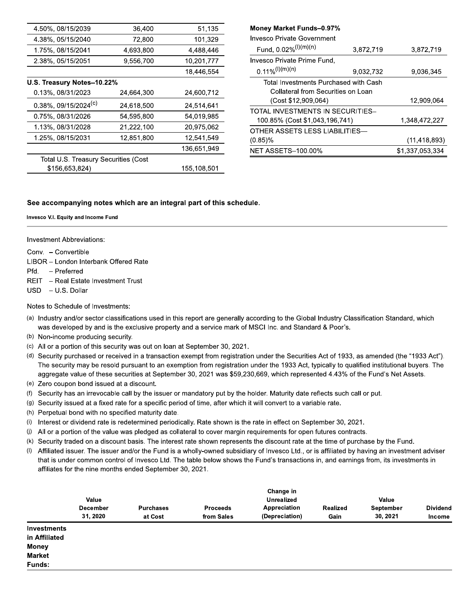| 4.50%, 08/15/2039                    | 36,400     | 51,135      |
|--------------------------------------|------------|-------------|
| 4.38%, 05/15/2040                    | 72,800     | 101,329     |
| 1.75%, 08/15/2041                    | 4.693.800  | 4.488.446   |
| 2.38%, 05/15/2051                    | 9,556,700  | 10,201,777  |
|                                      |            | 18,446,554  |
| U.S. Treasury Notes-10.22%           |            |             |
| 0.13%, 08/31/2023                    | 24,664,300 | 24,600,712  |
| $0.38\%$ , 09/15/2024 <sup>(c)</sup> | 24,618,500 | 24,514,641  |
| 0.75%, 08/31/2026                    | 54,595,800 | 54,019,985  |
| 1.13%, 08/31/2028                    | 21,222,100 | 20,975,062  |
| 1.25%, 08/15/2031                    | 12,851,800 | 12,541,549  |
|                                      |            | 136,651,949 |
| Total U.S. Treasury Securities (Cost |            |             |
| \$156,653,824)                       |            | 155,108,501 |

| Money Market Funds-0.97%              |           |                 |
|---------------------------------------|-----------|-----------------|
| Invesco Private Government            |           |                 |
| Fund, $0.02\%/I^{(m)(n)}$             | 3,872,719 | 3,872,719       |
| Invesco Private Prime Fund,           |           |                 |
| $0.11\%/I^{(l)(m)(n)}$                | 9.032.732 | 9.036.345       |
| Total Investments Purchased with Cash |           |                 |
| Collateral from Securities on Loan    |           |                 |
| (Cost \$12,909,064)                   |           | 12,909,064      |
| TOTAL INVESTMENTS IN SECURITIES-      |           |                 |
| 100.85% (Cost \$1,043,196,741)        |           | 1,348,472,227   |
| OTHER ASSETS LESS LIABILITIES—        |           |                 |
| $(0.85)\%$                            |           | (11, 418, 893)  |
| <b>NET ASSETS-100.00%</b>             |           | \$1,337,053,334 |

**Contract Contract** 

#### See accompanying notes which are an integral part of this schedule.

#### Invesco V.I. Equity and Income Fund

**Investment Abbreviations:** 

Conv. - Convertible

- LIBOR London Interbank Offered Rate
- Pfd. Preferred
- REIT Real Estate Investment Trust
- USD U.S. Dollar

#### Notes to Schedule of Investments:

- (a) Industry and/or sector classifications used in this report are generally according to the Global Industry Classification Standard, which was developed by and is the exclusive property and a service mark of MSCI Inc. and Standard & Poor's.
- (b) Non-income producing security.
- (c) All or a portion of this security was out on loan at September 30, 2021.
- (d) Security purchased or received in a transaction exempt from registration under the Securities Act of 1933, as amended (the "1933 Act"). The security may be resold pursuant to an exemption from registration under the 1933 Act, typically to qualified institutional buyers. The aggregate value of these securities at September 30, 2021 was \$59,230,669, which represented 4.43% of the Fund's Net Assets.
- (e) Zero coupon bond issued at a discount.
- (f) Security has an irrevocable call by the issuer or mandatory put by the holder. Maturity date reflects such call or put.
- (g) Security issued at a fixed rate for a specific period of time, after which it will convert to a variable rate.
- (h) Perpetual bond with no specified maturity date.
- (i) Interest or dividend rate is redetermined periodically. Rate shown is the rate in effect on September 30, 2021.
- All or a portion of the value was pledged as collateral to cover margin requirements for open futures contracts.  $(j)$
- (k) Security traded on a discount basis. The interest rate shown represents the discount rate at the time of purchase by the Fund.
- $(1)$ Affiliated issuer. The issuer and/or the Fund is a wholly-owned subsidiary of Invesco Ltd., or is affiliated by having an investment adviser that is under common control of Invesco Ltd. The table below shows the Fund's transactions in, and earnings from, its investments in affiliates for the nine months ended September 30, 2021.

|                                     | Value<br><b>December</b><br>31, 2020 | <b>Purchases</b><br>at Cost | <b>Proceeds</b><br>from Sales | Change in<br><b>Unrealized</b><br>Appreciation<br>(Depreciation) | Realized<br>Gain | Value<br>September<br>30, 2021 | <b>Dividend</b><br><b>Income</b> |
|-------------------------------------|--------------------------------------|-----------------------------|-------------------------------|------------------------------------------------------------------|------------------|--------------------------------|----------------------------------|
| <b>Investments</b><br>in Affiliated |                                      |                             |                               |                                                                  |                  |                                |                                  |
| <b>Money</b>                        |                                      |                             |                               |                                                                  |                  |                                |                                  |
| <b>Market</b>                       |                                      |                             |                               |                                                                  |                  |                                |                                  |
| Funds:                              |                                      |                             |                               |                                                                  |                  |                                |                                  |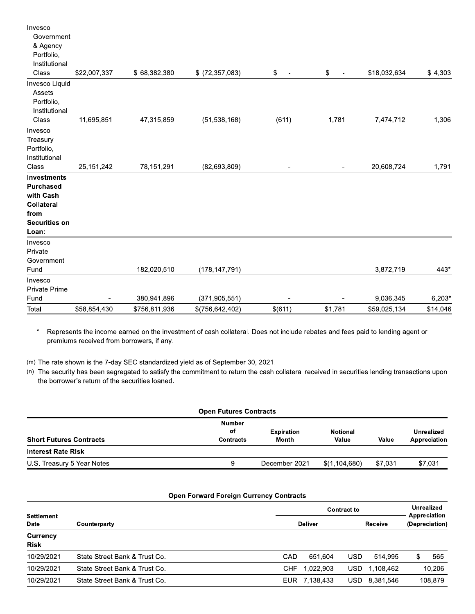| Total                       | \$58,854,430 | \$756,811,936 | \$(756, 642, 402) | \$(611)                        | \$1,781        | \$59,025,134 | \$14,046 |
|-----------------------------|--------------|---------------|-------------------|--------------------------------|----------------|--------------|----------|
| Fund                        |              | 380,941,896   | (371, 905, 551)   |                                |                | 9,036,345    | 6,203*   |
| <b>Private Prime</b>        |              |               |                   |                                |                |              |          |
| Invesco                     |              |               |                   |                                |                |              |          |
| Government<br>Fund          |              | 182,020,510   | (178, 147, 791)   |                                |                | 3,872,719    | 443*     |
| Private                     |              |               |                   |                                |                |              |          |
| Invesco                     |              |               |                   |                                |                |              |          |
| Loan:                       |              |               |                   |                                |                |              |          |
| <b>Securities on</b>        |              |               |                   |                                |                |              |          |
| from                        |              |               |                   |                                |                |              |          |
| Collateral                  |              |               |                   |                                |                |              |          |
| with Cash                   |              |               |                   |                                |                |              |          |
| <b>Purchased</b>            |              |               |                   |                                |                |              |          |
| <b>Investments</b>          |              |               |                   |                                |                |              |          |
| Class                       | 25, 151, 242 | 78,151,291    | (82, 693, 809)    |                                | $\blacksquare$ | 20,608,724   | 1,791    |
| Institutional               |              |               |                   |                                |                |              |          |
| Portfolio,                  |              |               |                   |                                |                |              |          |
| Treasury                    |              |               |                   |                                |                |              |          |
| Invesco                     |              |               |                   |                                |                |              |          |
| Class                       | 11,695,851   | 47,315,859    | (51, 538, 168)    | (611)                          | 1,781          | 7,474,712    | 1,306    |
| Portfolio,<br>Institutional |              |               |                   |                                |                |              |          |
| Assets                      |              |               |                   |                                |                |              |          |
| Invesco Liquid              |              |               |                   |                                |                |              |          |
| Class                       | \$22,007,337 | \$68,382,380  | $$$ (72,357,083)  | \$<br>$\overline{\phantom{a}}$ | \$<br>÷,       | \$18,032,634 | \$4,303  |
| Institutional               |              |               |                   |                                |                |              |          |
| & Agency<br>Portfolio,      |              |               |                   |                                |                |              |          |
| Government                  |              |               |                   |                                |                |              |          |
| Invesco                     |              |               |                   |                                |                |              |          |

 $\star$ Represents the income earned on the investment of cash collateral. Does not include rebates and fees paid to lending agent or premiums received from borrowers, if any.

(m) The rate shown is the 7-day SEC standardized yield as of September 30, 2021.

(n) The security has been segregated to satisfy the commitment to return the cash collateral received in securities lending transactions upon the borrower's return of the securities loaned.

| <b>Open Futures Contracts</b>           |                            |                          |         |                            |  |  |  |
|-----------------------------------------|----------------------------|--------------------------|---------|----------------------------|--|--|--|
| <b>Number</b><br>оf<br><b>Contracts</b> | <b>Expiration</b><br>Month | <b>Notional</b><br>Value | Value   | Unrealized<br>Appreciation |  |  |  |
|                                         |                            |                          |         |                            |  |  |  |
| g                                       | December-2021              | \$(1,104,680)            | \$7,031 | \$7,031                    |  |  |  |
|                                         |                            |                          |         |                            |  |  |  |

#### **Open Forward Foreign Currency Contracts**

| Settlement              |                               |      | <b>Contract to</b> |            |           |                | <b>Unrealized</b><br>Appreciation |  |
|-------------------------|-------------------------------|------|--------------------|------------|-----------|----------------|-----------------------------------|--|
| <b>Date</b>             | Counterparty                  |      | <b>Deliver</b>     |            | Receive   | (Depreciation) |                                   |  |
| Currency<br><b>Risk</b> |                               |      |                    |            |           |                |                                   |  |
| 10/29/2021              | State Street Bank & Trust Co. | CAD  | 651.604            | <b>USD</b> | 514.995   |                | 565                               |  |
| 10/29/2021              | State Street Bank & Trust Co. | CHF  | 1.022.903          | <b>USD</b> | 1.108.462 |                | 10,206                            |  |
| 10/29/2021              | State Street Bank & Trust Co. | EUR. | 7.138.433          | USD.       | 8,381,546 |                | 108,879                           |  |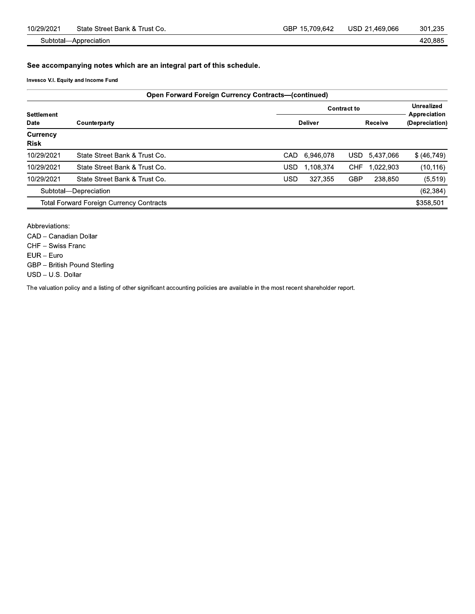420,885

Subtotal-Appreciation

See accompanying notes which are an integral part of this schedule.

Invesco V.I. Equity and Income Fund

| <b>Open Forward Foreign Currency Contracts—(continued)</b> |                                                 |            |                   |            |           |                                |  |  |
|------------------------------------------------------------|-------------------------------------------------|------------|-------------------|------------|-----------|--------------------------------|--|--|
|                                                            |                                                 |            | <b>Unrealized</b> |            |           |                                |  |  |
| Settlement<br>Date                                         | Counterparty                                    |            | <b>Deliver</b>    |            | Receive   | Appreciation<br>(Depreciation) |  |  |
| Currency<br>Risk                                           |                                                 |            |                   |            |           |                                |  |  |
| 10/29/2021                                                 | State Street Bank & Trust Co.                   | CAD        | 6,946,078         | USD.       | 5,437,066 | \$ (46, 749)                   |  |  |
| 10/29/2021                                                 | State Street Bank & Trust Co.                   | USD        | 1.108.374         | <b>CHF</b> | 1,022,903 | (10, 116)                      |  |  |
| 10/29/2021                                                 | State Street Bank & Trust Co.                   | <b>USD</b> | 327.355           | <b>GBP</b> | 238.850   | (5, 519)                       |  |  |
|                                                            | Subtotal-Depreciation                           |            |                   |            |           | (62, 384)                      |  |  |
|                                                            | <b>Total Forward Foreign Currency Contracts</b> |            |                   |            |           | \$358,501                      |  |  |

Abbreviations:

CAD - Canadian Dollar

CHF - Swiss Franc

 $EUR - Euro$ 

GBP - British Pound Sterling

USD - U.S. Dollar

The valuation policy and a listing of other significant accounting policies are available in the most recent shareholder report.